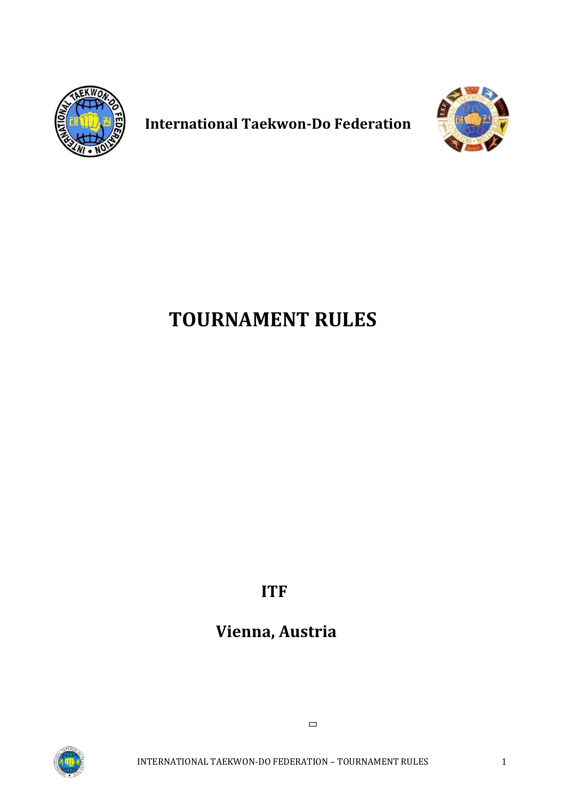

**International Taekwon-Do Federation**



# **TOURNAMENT RULES**

**ITF** 

# **Vienna, Austria**



INTERNATIONAL TAEKWON-DO FEDERATION – TOURNAMENT RULES 1

 $\Box$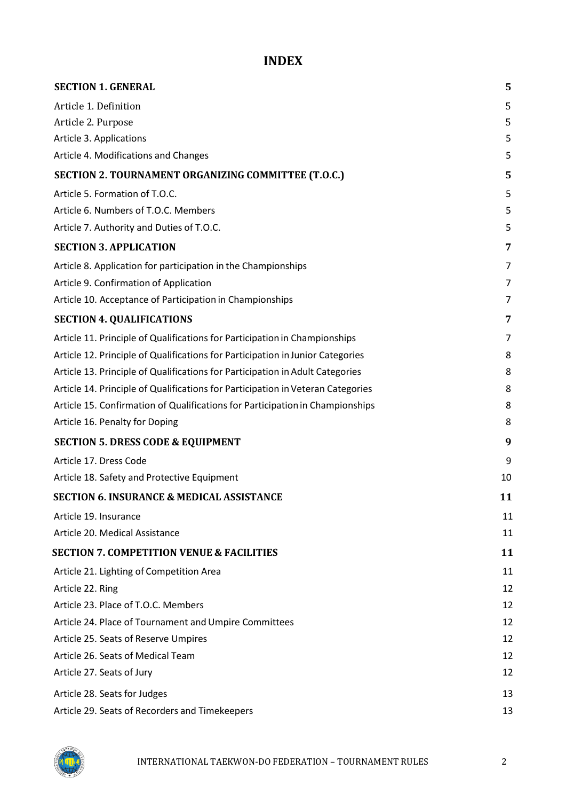# **INDEX**

| <b>SECTION 1. GENERAL</b>                                                       | 5  |
|---------------------------------------------------------------------------------|----|
| Article 1. Definition                                                           | 5  |
| Article 2. Purpose                                                              | 5  |
| Article 3. Applications                                                         | 5  |
| Article 4. Modifications and Changes                                            | 5  |
| SECTION 2. TOURNAMENT ORGANIZING COMMITTEE (T.O.C.)                             | 5  |
| Article 5. Formation of T.O.C.                                                  | 5  |
| Article 6. Numbers of T.O.C. Members                                            | 5  |
| Article 7. Authority and Duties of T.O.C.                                       | 5  |
| <b>SECTION 3. APPLICATION</b>                                                   | 7  |
| Article 8. Application for participation in the Championships                   | 7  |
| Article 9. Confirmation of Application                                          | 7  |
| Article 10. Acceptance of Participation in Championships                        | 7  |
| <b>SECTION 4. QUALIFICATIONS</b>                                                | 7  |
| Article 11. Principle of Qualifications for Participation in Championships      | 7  |
| Article 12. Principle of Qualifications for Participation in Junior Categories  | 8  |
| Article 13. Principle of Qualifications for Participation in Adult Categories   | 8  |
| Article 14. Principle of Qualifications for Participation in Veteran Categories | 8  |
| Article 15. Confirmation of Qualifications for Participation in Championships   | 8  |
| Article 16. Penalty for Doping                                                  | 8  |
| <b>SECTION 5. DRESS CODE &amp; EQUIPMENT</b>                                    | 9  |
| Article 17. Dress Code                                                          | 9  |
| Article 18. Safety and Protective Equipment                                     | 10 |
| <b>SECTION 6. INSURANCE &amp; MEDICAL ASSISTANCE</b>                            | 11 |
| Article 19. Insurance                                                           | 11 |
| Article 20. Medical Assistance                                                  | 11 |
| <b>SECTION 7. COMPETITION VENUE &amp; FACILITIES</b>                            | 11 |
| Article 21. Lighting of Competition Area                                        | 11 |
| Article 22. Ring                                                                | 12 |
| Article 23. Place of T.O.C. Members                                             | 12 |
| Article 24. Place of Tournament and Umpire Committees                           | 12 |
| Article 25. Seats of Reserve Umpires                                            | 12 |
| Article 26. Seats of Medical Team                                               | 12 |
| Article 27. Seats of Jury                                                       | 12 |
| Article 28. Seats for Judges                                                    | 13 |
| Article 29. Seats of Recorders and Timekeepers                                  | 13 |

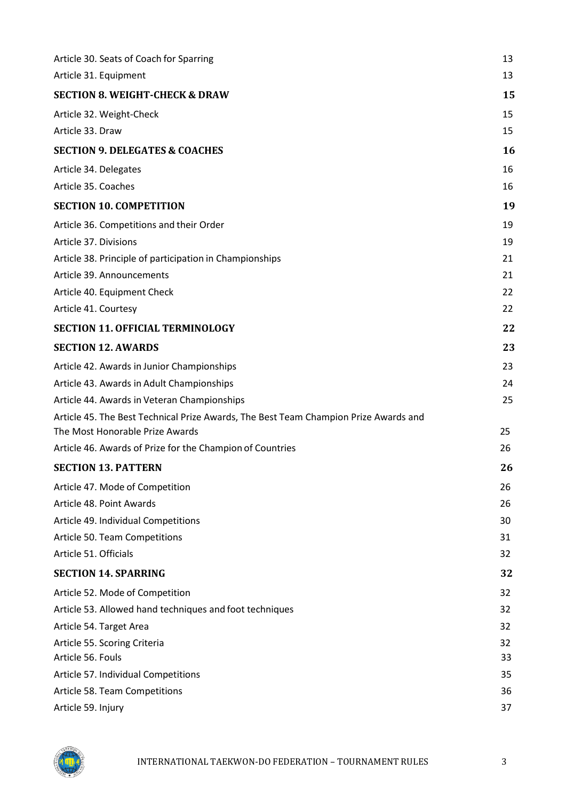| Article 30. Seats of Coach for Sparring                                              | 13 |
|--------------------------------------------------------------------------------------|----|
| Article 31. Equipment                                                                | 13 |
| <b>SECTION 8. WEIGHT-CHECK &amp; DRAW</b>                                            | 15 |
| Article 32. Weight-Check                                                             | 15 |
| Article 33. Draw                                                                     | 15 |
| <b>SECTION 9. DELEGATES &amp; COACHES</b>                                            | 16 |
| Article 34. Delegates                                                                | 16 |
| Article 35. Coaches                                                                  | 16 |
| <b>SECTION 10. COMPETITION</b>                                                       | 19 |
| Article 36. Competitions and their Order                                             | 19 |
| Article 37. Divisions                                                                | 19 |
| Article 38. Principle of participation in Championships                              | 21 |
| Article 39. Announcements                                                            | 21 |
| Article 40. Equipment Check                                                          | 22 |
| Article 41. Courtesy                                                                 | 22 |
| <b>SECTION 11. OFFICIAL TERMINOLOGY</b>                                              | 22 |
| <b>SECTION 12. AWARDS</b>                                                            | 23 |
| Article 42. Awards in Junior Championships                                           | 23 |
| Article 43. Awards in Adult Championships                                            | 24 |
| Article 44. Awards in Veteran Championships                                          | 25 |
| Article 45. The Best Technical Prize Awards, The Best Team Champion Prize Awards and |    |
| The Most Honorable Prize Awards                                                      | 25 |
| Article 46. Awards of Prize for the Champion of Countries                            | 26 |
| <b>SECTION 13. PATTERN</b>                                                           | 26 |
| Article 47. Mode of Competition                                                      | 26 |
| Article 48. Point Awards                                                             | 26 |
| Article 49. Individual Competitions                                                  | 30 |
| Article 50. Team Competitions                                                        | 31 |
| Article 51. Officials                                                                | 32 |
| <b>SECTION 14. SPARRING</b>                                                          | 32 |
| Article 52. Mode of Competition                                                      | 32 |
| Article 53. Allowed hand techniques and foot techniques                              | 32 |
| Article 54. Target Area                                                              | 32 |
| Article 55. Scoring Criteria                                                         | 32 |
| Article 56. Fouls                                                                    | 33 |
| Article 57. Individual Competitions                                                  | 35 |
| Article 58. Team Competitions                                                        | 36 |
| Article 59. Injury                                                                   | 37 |

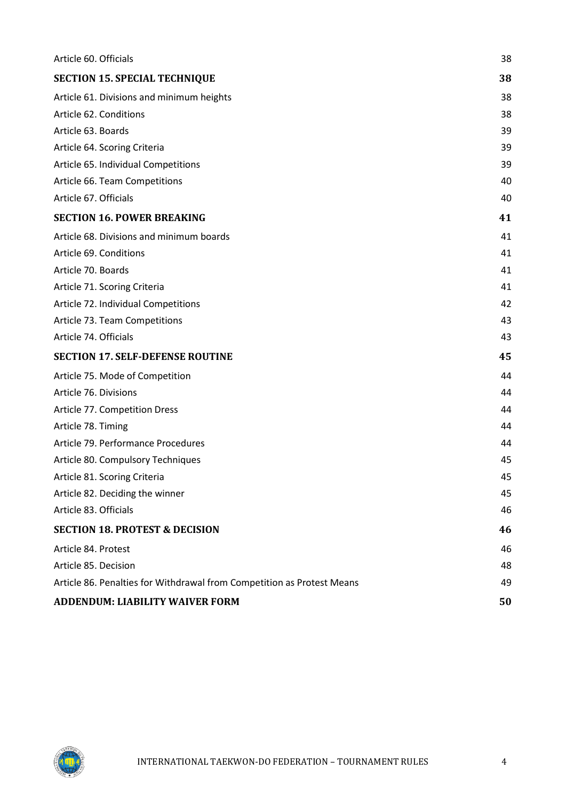| Article 60. Officials                                                  | 38 |
|------------------------------------------------------------------------|----|
| <b>SECTION 15. SPECIAL TECHNIQUE</b>                                   | 38 |
| Article 61. Divisions and minimum heights                              | 38 |
| Article 62. Conditions                                                 | 38 |
| Article 63. Boards                                                     | 39 |
| Article 64. Scoring Criteria                                           | 39 |
| Article 65. Individual Competitions                                    | 39 |
| Article 66. Team Competitions                                          | 40 |
| Article 67. Officials                                                  | 40 |
| <b>SECTION 16. POWER BREAKING</b>                                      | 41 |
| Article 68. Divisions and minimum boards                               | 41 |
| Article 69. Conditions                                                 | 41 |
| Article 70. Boards                                                     | 41 |
| Article 71. Scoring Criteria                                           | 41 |
| Article 72. Individual Competitions                                    | 42 |
| Article 73. Team Competitions                                          | 43 |
| Article 74. Officials                                                  | 43 |
| <b>SECTION 17. SELF-DEFENSE ROUTINE</b>                                | 45 |
| Article 75. Mode of Competition                                        | 44 |
| Article 76. Divisions                                                  | 44 |
| Article 77. Competition Dress                                          | 44 |
| Article 78. Timing                                                     | 44 |
| Article 79. Performance Procedures                                     | 44 |
| Article 80. Compulsory Techniques                                      | 45 |
| Article 81. Scoring Criteria                                           | 45 |
| Article 82. Deciding the winner                                        | 45 |
| Article 83. Officials                                                  | 46 |
| <b>SECTION 18. PROTEST &amp; DECISION</b>                              | 46 |
| Article 84. Protest                                                    | 46 |
| Article 85. Decision                                                   | 48 |
| Article 86. Penalties for Withdrawal from Competition as Protest Means | 49 |
| ADDENDUM: LIABILITY WAIVER FORM                                        | 50 |

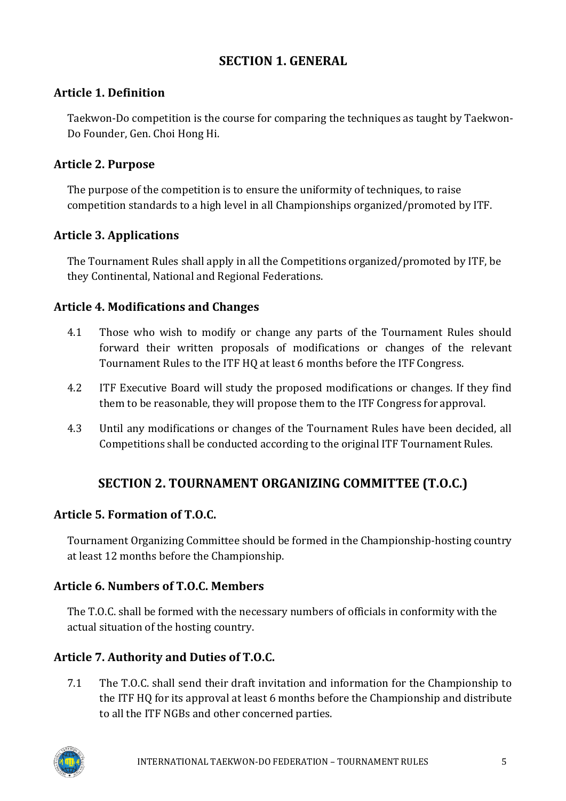# **SECTION 1. GENERAL**

# <span id="page-4-1"></span><span id="page-4-0"></span>**Article 1. Definition**

Taekwon-Do competition is the course for comparing the techniques as taught by Taekwon-Do Founder, Gen. Choi Hong Hi.

# <span id="page-4-2"></span>**Article 2. Purpose**

The purpose of the competition is to ensure the uniformity of techniques, to raise competition standards to a high level in all Championships organized/promoted by ITF.

# <span id="page-4-3"></span>**Article 3. Applications**

The Tournament Rules shall apply in all the Competitions organized/promoted by ITF, be they Continental, National and Regional Federations.

# <span id="page-4-4"></span>**Article 4. Modifications and Changes**

- 4.1 Those who wish to modify or change any parts of the Tournament Rules should forward their written proposals of modifications or changes of the relevant Tournament Rules to the ITF HQ at least 6 months before the ITF Congress.
- 4.2 ITF Executive Board will study the proposed modifications or changes. If they find them to be reasonable, they will propose them to the ITF Congress for approval.
- 4.3 Until any modifications or changes of the Tournament Rules have been decided, all Competitions shall be conducted according to the original ITF Tournament Rules.

# **SECTION 2. TOURNAMENT ORGANIZING COMMITTEE (T.O.C.)**

# <span id="page-4-6"></span><span id="page-4-5"></span>**Article 5. Formation of T.O.C.**

Tournament Organizing Committee should be formed in the Championship-hosting country at least 12 months before the Championship.

# <span id="page-4-7"></span>**Article 6. Numbers of T.O.C. Members**

The T.O.C. shall be formed with the necessary numbers of officials in conformity with the actual situation of the hosting country.

# <span id="page-4-8"></span>**Article 7. Authority and Duties of T.O.C.**

7.1 The T.O.C. shall send their draft invitation and information for the Championship to the ITF HQ for its approval at least 6 months before the Championship and distribute to all the ITF NGBs and other concerned parties.

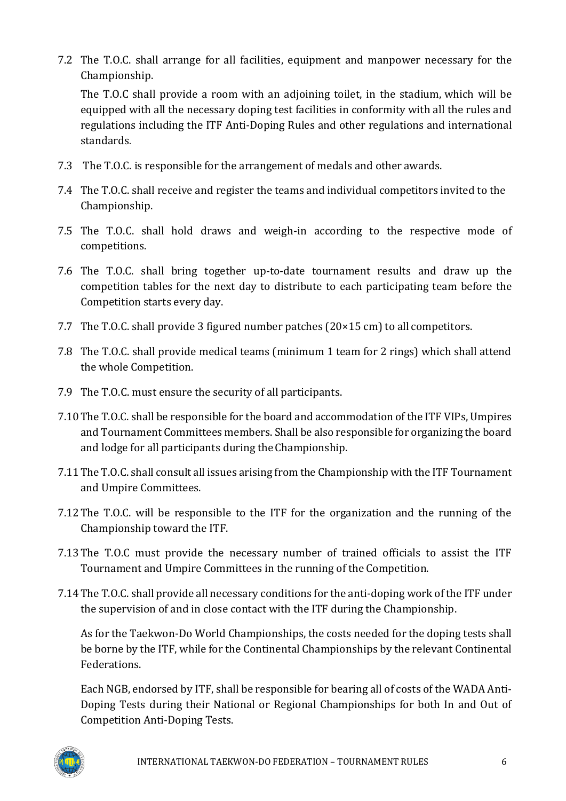7.2 The T.O.C. shall arrange for all facilities, equipment and manpower necessary for the Championship.

The T.O.C shall provide a room with an adjoining toilet, in the stadium, which will be equipped with all the necessary doping test facilities in conformity with all the rules and regulations including the ITF Anti-Doping Rules and other regulations and international standards.

- 7.3 The T.O.C. is responsible for the arrangement of medals and other awards.
- 7.4 The T.O.C. shall receive and register the teams and individual competitors invited to the Championship.
- 7.5 The T.O.C. shall hold draws and weigh-in according to the respective mode of competitions.
- 7.6 The T.O.C. shall bring together up-to-date tournament results and draw up the competition tables for the next day to distribute to each participating team before the Competition starts every day.
- 7.7 The T.O.C. shall provide 3 figured number patches (20×15 cm) to all competitors.
- 7.8 The T.O.C. shall provide medical teams (minimum 1 team for 2 rings) which shall attend the whole Competition.
- 7.9 The T.O.C. must ensure the security of all participants.
- 7.10The T.O.C. shall be responsible for the board and accommodation of the ITF VIPs, Umpires and Tournament Committees members. Shall be also responsible for organizing the board and lodge for all participants during theChampionship.
- 7.11The T.O.C. shall consult all issues arising from the Championship with the ITF Tournament and Umpire Committees.
- 7.12The T.O.C. will be responsible to the ITF for the organization and the running of the Championship toward the ITF.
- 7.13The T.O.C must provide the necessary number of trained officials to assist the ITF Tournament and Umpire Committees in the running of the Competition.
- 7.14The T.O.C. shall provide all necessary conditions for the anti-doping work of the ITF under the supervision of and in close contact with the ITF during the Championship.

As for the Taekwon-Do World Championships, the costs needed for the doping tests shall be borne by the ITF, while for the Continental Championships by the relevant Continental Federations.

Each NGB, endorsed by ITF, shall be responsible for bearing all of costs of the WADA Anti-Doping Tests during their National or Regional Championships for both In and Out of Competition Anti-Doping Tests.

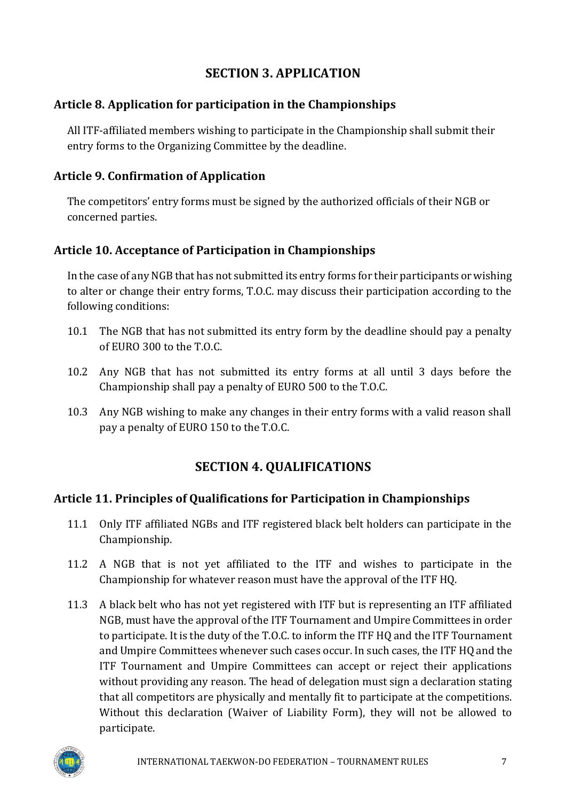# **SECTION 3. APPLICATION**

### <span id="page-6-1"></span><span id="page-6-0"></span>**Article 8. Application for participation in the Championships**

All ITF-affiliated members wishing to participate in the Championship shall submit their entry forms to the Organizing Committee by the deadline.

### <span id="page-6-2"></span>**Article 9. Confirmation of Application**

The competitors' entry forms must be signed by the authorized officials of their NGB or concerned parties.

# <span id="page-6-3"></span>**Article 10. Acceptance of Participation in Championships**

In the case of any NGB that has not submitted its entry forms for their participants or wishing to alter or change their entry forms, T.O.C. may discuss their participation according to the following conditions:

- 10.1 The NGB that has not submitted its entry form by the deadline should pay a penalty of EURO 300 to the T.O.C.
- 10.2 Any NGB that has not submitted its entry forms at all until 3 days before the Championship shall pay a penalty of EURO 500 to the T.O.C.
- 10.3 Any NGB wishing to make any changes in their entry forms with a valid reason shall pay a penalty of EURO 150 to the T.O.C.

# **SECTION 4. QUALIFICATIONS**

### <span id="page-6-5"></span><span id="page-6-4"></span>**Article 11. Principles of Qualifications for Participation in Championships**

- 11.1 Only ITF affiliated NGBs and ITF registered black belt holders can participate in the Championship.
- 11.2 A NGB that is not yet affiliated to the ITF and wishes to participate in the Championship for whatever reason must have the approval of the ITF HQ.
- 11.3 A black belt who has not yet registered with ITF but is representing an ITF affiliated NGB, must have the approval of the ITF Tournament and Umpire Committees in order to participate. It is the duty of the T.O.C. to inform the ITF HQ and the ITF Tournament and Umpire Committees whenever such cases occur. In such cases, the ITF HQ and the ITF Tournament and Umpire Committees can accept or reject their applications without providing any reason. The head of delegation must sign a declaration stating that all competitors are physically and mentally fit to participate at the competitions. Without this declaration (Waiver of Liability Form), they will not be allowed to participate.

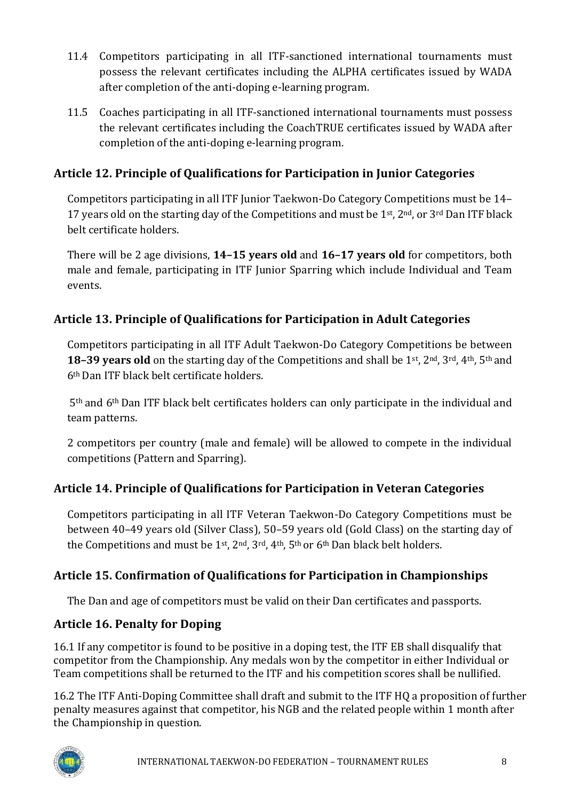- 11.4 Competitors participating in all ITF-sanctioned international tournaments must possess the relevant certificates including the ALPHA certificates issued by WADA after completion of the anti-doping e-learning program.
- 11.5 Coaches participating in all ITF-sanctioned international tournaments must possess the relevant certificates including the CoachTRUE certificates issued by WADA after completion of the anti-doping e-learning program.

# <span id="page-7-0"></span>**Article 12. Principle of Qualifications for Participation in Junior Categories**

Competitors participating in all ITF Junior Taekwon-Do Category Competitions must be 14– 17 years old on the starting day of the Competitions and must be 1<sup>st</sup>, 2<sup>nd</sup>, or 3<sup>rd</sup> Dan ITF black belt certificate holders.

There will be 2 age divisions, **14–15 years old** and **16–17 years old** for competitors, both male and female, participating in ITF Junior Sparring which include Individual and Team events.

# <span id="page-7-1"></span>**Article 13. Principle of Qualifications for Participation in Adult Categories**

Competitors participating in all ITF Adult Taekwon-Do Category Competitions be between **18–39 years old** on the starting day of the Competitions and shall be 1st, 2nd, 3rd, 4th, 5th and 6th Dan ITF black belt certificate holders.

5th and 6th Dan ITF black belt certificates holders can only participate in the individual and team patterns.

2 competitors per country (male and female) will be allowed to compete in the individual competitions (Pattern and Sparring).

# <span id="page-7-2"></span>**Article 14. Principle of Qualifications for Participation in Veteran Categories**

Competitors participating in all ITF Veteran Taekwon-Do Category Competitions must be between 40–49 years old (Silver Class), 50–59 years old (Gold Class) on the starting day of the Competitions and must be  $1^{st}$ ,  $2^{nd}$ ,  $3^{rd}$ ,  $4^{th}$ ,  $5^{th}$  or  $6^{th}$  Dan black belt holders.

# <span id="page-7-3"></span>**Article 15. Confirmation of Qualifications for Participation in Championships**

The Dan and age of competitors must be valid on their Dan certificates and passports.

# <span id="page-7-4"></span>**Article 16. Penalty for Doping**

16.1 If any competitor is found to be positive in a doping test, the ITF EB shall disqualify that competitor from the Championship. Any medals won by the competitor in either Individual or Team competitions shall be returned to the ITF and his competition scores shall be nullified.

16.2 The ITF Anti-Doping Committee shall draft and submit to the ITF HQ a proposition of further penalty measures against that competitor, his NGB and the related people within 1 month after the Championship in question.

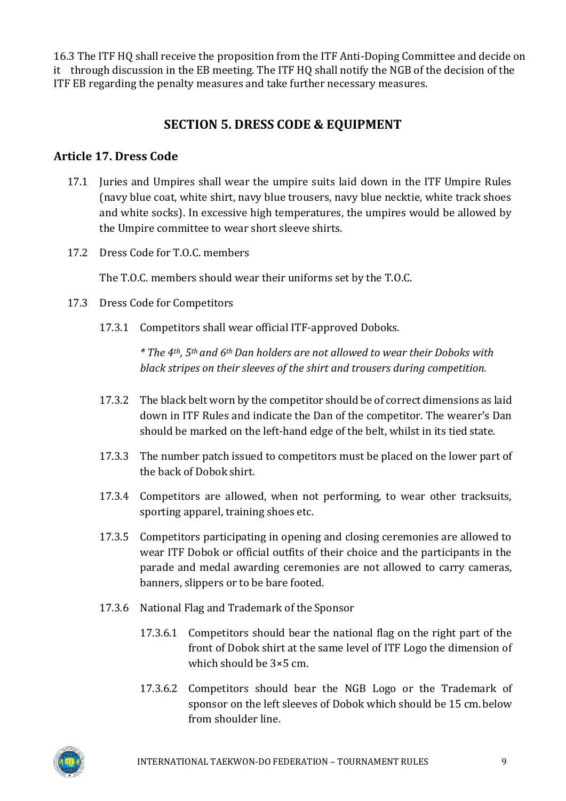16.3 The ITF HQ shall receive the proposition from the ITF Anti-Doping Committee and decide on it through discussion in the EB meeting. The ITF HQ shall notify the NGB of the decision of the ITF EB regarding the penalty measures and take further necessary measures.

# **SECTION 5. DRESS CODE & EQUIPMENT**

### <span id="page-8-1"></span><span id="page-8-0"></span>**Article 17. Dress Code**

- 17.1 Juries and Umpires shall wear the umpire suits laid down in the ITF Umpire Rules (navy blue coat, white shirt, navy blue trousers, navy blue necktie, white track shoes and white socks). In excessive high temperatures, the umpires would be allowed by the Umpire committee to wear short sleeve shirts.
- 17.2 Dress Code for T.O.C. members

The T.O.C. members should wear their uniforms set by the T.O.C.

- 17.3 Dress Code for Competitors
	- 17.3.1 Competitors shall wear official ITF-approved Doboks.

*\* The 4th, 5th and 6th Dan holders are not allowed to wear their Doboks with black stripes on their sleeves of the shirt and trousers during competition.*

- 17.3.2 The black belt worn by the competitor should be of correct dimensions as laid down in ITF Rules and indicate the Dan of the competitor. The wearer's Dan should be marked on the left-hand edge of the belt, whilst in its tied state.
- 17.3.3 The number patch issued to competitors must be placed on the lower part of the back of Dobok shirt.
- 17.3.4 Competitors are allowed, when not performing, to wear other tracksuits, sporting apparel, training shoes etc.
- 17.3.5 Competitors participating in opening and closing ceremonies are allowed to wear ITF Dobok or official outfits of their choice and the participants in the parade and medal awarding ceremonies are not allowed to carry cameras, banners, slippers or to be bare footed.
- 17.3.6 National Flag and Trademark of the Sponsor
	- 17.3.6.1 Competitors should bear the national flag on the right part of the front of Dobok shirt at the same level of ITF Logo the dimension of which should be 3×5 cm.
	- 17.3.6.2 Competitors should bear the NGB Logo or the Trademark of sponsor on the left sleeves of Dobok which should be 15 cm.below from shoulder line.

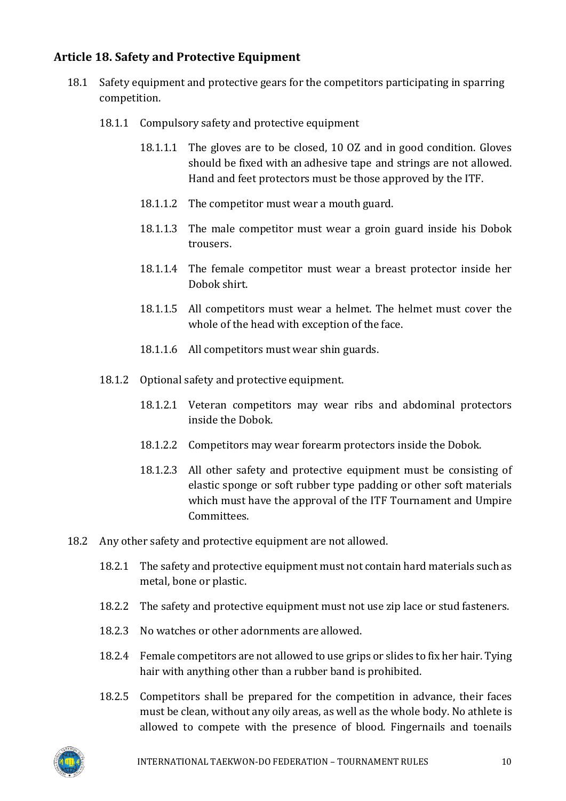# <span id="page-9-0"></span>**Article 18. Safety and Protective Equipment**

- 18.1 Safety equipment and protective gears for the competitors participating in sparring competition.
	- 18.1.1 Compulsory safety and protective equipment
		- 18.1.1.1 The gloves are to be closed, 10 OZ and in good condition. Gloves should be fixed with an adhesive tape and strings are not allowed. Hand and feet protectors must be those approved by the ITF.
		- 18.1.1.2 The competitor must wear a mouth guard.
		- 18.1.1.3 The male competitor must wear a groin guard inside his Dobok trousers.
		- 18.1.1.4 The female competitor must wear a breast protector inside her Dobok shirt.
		- 18.1.1.5 All competitors must wear a helmet. The helmet must cover the whole of the head with exception of the face.
		- 18.1.1.6 All competitors must wear shin guards.
	- 18.1.2 Optional safety and protective equipment.
		- 18.1.2.1 Veteran competitors may wear ribs and abdominal protectors inside the Dobok.
		- 18.1.2.2 Competitors may wear forearm protectors inside the Dobok.
		- 18.1.2.3 All other safety and protective equipment must be consisting of elastic sponge or soft rubber type padding or other soft materials which must have the approval of the ITF Tournament and Umpire Committees.
- 18.2 Any other safety and protective equipment are not allowed.
	- 18.2.1 The safety and protective equipment must not contain hard materials such as metal, bone or plastic.
	- 18.2.2 The safety and protective equipment must not use zip lace or stud fasteners.
	- 18.2.3 No watches or other adornments are allowed.
	- 18.2.4 Female competitors are not allowed to use grips or slides to fix her hair. Tying hair with anything other than a rubber band is prohibited.
	- 18.2.5 Competitors shall be prepared for the competition in advance, their faces must be clean, without any oily areas, as well as the whole body. No athlete is allowed to compete with the presence of blood. Fingernails and toenails

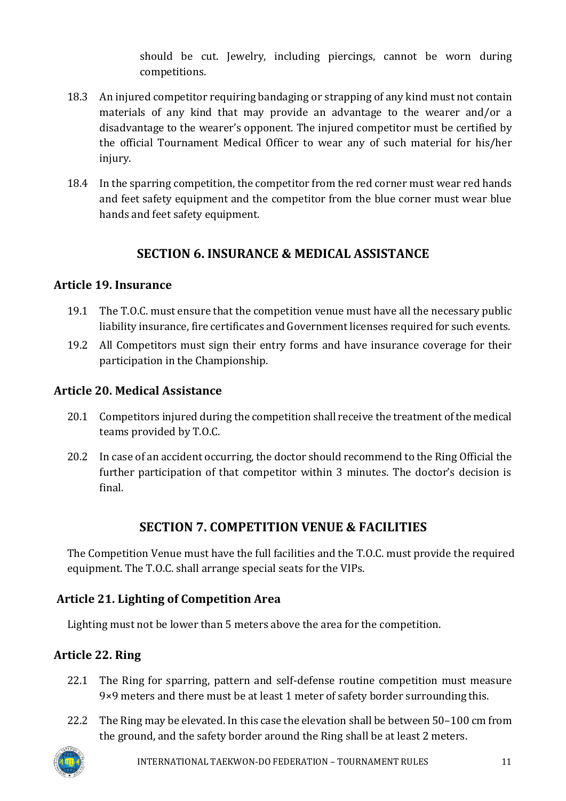should be cut. Jewelry, including piercings, cannot be worn during competitions.

- 18.3 An injured competitor requiring bandaging or strapping of any kind must not contain materials of any kind that may provide an advantage to the wearer and/or a disadvantage to the wearer's opponent. The injured competitor must be certified by the official Tournament Medical Officer to wear any of such material for his/her injury.
- 18.4 In the sparring competition, the competitor from the red corner must wear red hands and feet safety equipment and the competitor from the blue corner must wear blue hands and feet safety equipment.

# **SECTION 6. INSURANCE & MEDICAL ASSISTANCE**

# <span id="page-10-1"></span><span id="page-10-0"></span>**Article 19. Insurance**

- 19.1 The T.O.C. must ensure that the competition venue must have all the necessary public liability insurance, fire certificates and Government licenses required for such events.
- 19.2 All Competitors must sign their entry forms and have insurance coverage for their participation in the Championship.

### <span id="page-10-2"></span>**Article 20. Medical Assistance**

- 20.1 Competitors injured during the competition shall receive the treatment of the medical teams provided by T.O.C.
- 20.2 In case of an accident occurring, the doctor should recommend to the Ring Official the further participation of that competitor within 3 minutes. The doctor's decision is final.

# **SECTION 7. COMPETITION VENUE & FACILITIES**

<span id="page-10-3"></span>The Competition Venue must have the full facilities and the T.O.C. must provide the required equipment. The T.O.C. shall arrange special seats for the VIPs.

# <span id="page-10-4"></span>**Article 21. Lighting of Competition Area**

Lighting must not be lower than 5 meters above the area for the competition.

# <span id="page-10-5"></span>**Article 22. Ring**

- 22.1 The Ring for sparring, pattern and self-defense routine competition must measure 9×9 meters and there must be at least 1 meter of safety border surrounding this.
- 22.2 The Ring may be elevated. In this case the elevation shall be between 50–100 cm from the ground, and the safety border around the Ring shall be at least 2 meters.

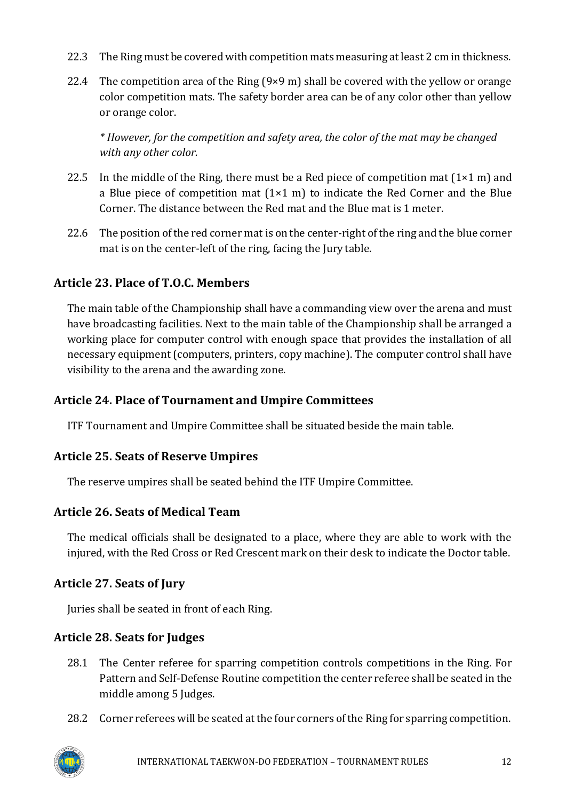- 22.3 The Ring must be covered with competition mats measuring at least 2 cm in thickness.
- 22.4 The competition area of the Ring  $(9 \times 9 \text{ m})$  shall be covered with the yellow or orange color competition mats. The safety border area can be of any color other than yellow or orange color.

*\* However, for the competition and safety area, the color of the mat may be changed with any other color.*

- 22.5 In the middle of the Ring, there must be a Red piece of competition mat  $(1 \times 1 \text{ m})$  and a Blue piece of competition mat  $(1\times1$  m) to indicate the Red Corner and the Blue Corner. The distance between the Red mat and the Blue mat is 1 meter.
- 22.6 The position of the red corner mat is on the center-right of the ring and the blue corner mat is on the center-left of the ring, facing the Jury table.

# <span id="page-11-0"></span>**Article 23. Place of T.O.C. Members**

The main table of the Championship shall have a commanding view over the arena and must have broadcasting facilities. Next to the main table of the Championship shall be arranged a working place for computer control with enough space that provides the installation of all necessary equipment (computers, printers, copy machine). The computer control shall have visibility to the arena and the awarding zone.

# <span id="page-11-1"></span>**Article 24. Place of Tournament and Umpire Committees**

ITF Tournament and Umpire Committee shall be situated beside the main table.

# <span id="page-11-2"></span>**Article 25. Seats of Reserve Umpires**

The reserve umpires shall be seated behind the ITF Umpire Committee.

# <span id="page-11-3"></span>**Article 26. Seats of Medical Team**

The medical officials shall be designated to a place, where they are able to work with the injured, with the Red Cross or Red Crescent mark on their desk to indicate the Doctor table.

# <span id="page-11-4"></span>**Article 27. Seats of Jury**

Juries shall be seated in front of each Ring.

# <span id="page-11-5"></span>**Article 28. Seats for Judges**

- 28.1 The Center referee for sparring competition controls competitions in the Ring. For Pattern and Self-Defense Routine competition the center referee shall be seated in the middle among 5 Judges.
- 28.2 Corner referees will be seated at the four corners of the Ring for sparring competition.

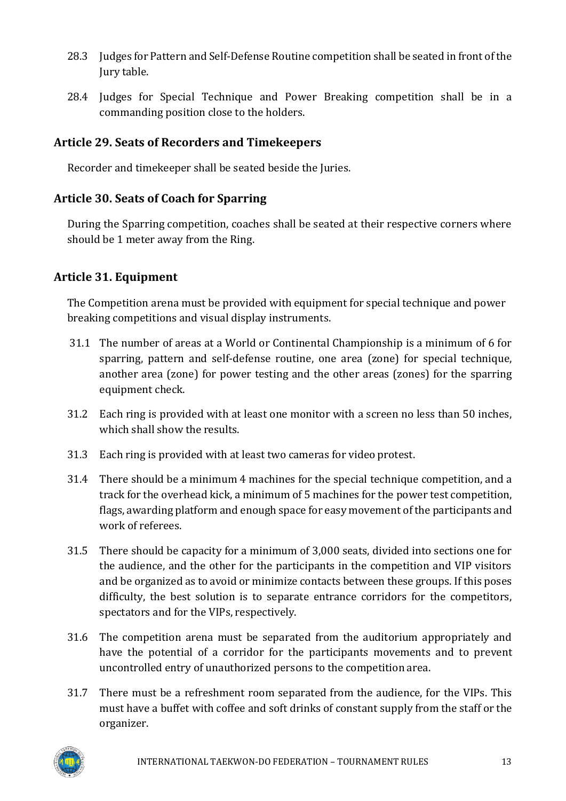- 28.3 Judges for Pattern and Self-Defense Routine competition shall be seated in front of the Jury table.
- 28.4 Judges for Special Technique and Power Breaking competition shall be in a commanding position close to the holders.

# <span id="page-12-0"></span>**Article 29. Seats of Recorders and Timekeepers**

Recorder and timekeeper shall be seated beside the Juries.

# <span id="page-12-1"></span>**Article 30. Seats of Coach for Sparring**

During the Sparring competition, coaches shall be seated at their respective corners where should be 1 meter away from the Ring.

# <span id="page-12-2"></span>**Article 31. Equipment**

The Competition arena must be provided with equipment for special technique and power breaking competitions and visual display instruments.

- 31.1 The number of areas at a World or Continental Championship is a minimum of 6 for sparring, pattern and self-defense routine, one area (zone) for special technique, another area (zone) for power testing and the other areas (zones) for the sparring equipment check.
- 31.2 Each ring is provided with at least one monitor with a screen no less than 50 inches, which shall show the results.
- 31.3 Each ring is provided with at least two cameras for video protest.
- 31.4 There should be a minimum 4 machines for the special technique competition, and a track for the overhead kick, a minimum of 5 machines for the power test competition, flags, awarding platform and enough space for easy movement of the participants and work of referees.
- 31.5 There should be capacity for a minimum of 3,000 seats, divided into sections one for the audience, and the other for the participants in the competition and VIP visitors and be organized as to avoid or minimize contacts between these groups. If this poses difficulty, the best solution is to separate entrance corridors for the competitors, spectators and for the VIPs, respectively.
- 31.6 The competition arena must be separated from the auditorium appropriately and have the potential of a corridor for the participants movements and to prevent uncontrolled entry of unauthorized persons to the competition area.
- 31.7 There must be a refreshment room separated from the audience, for the VIPs. This must have a buffet with coffee and soft drinks of constant supply from the staff or the organizer.

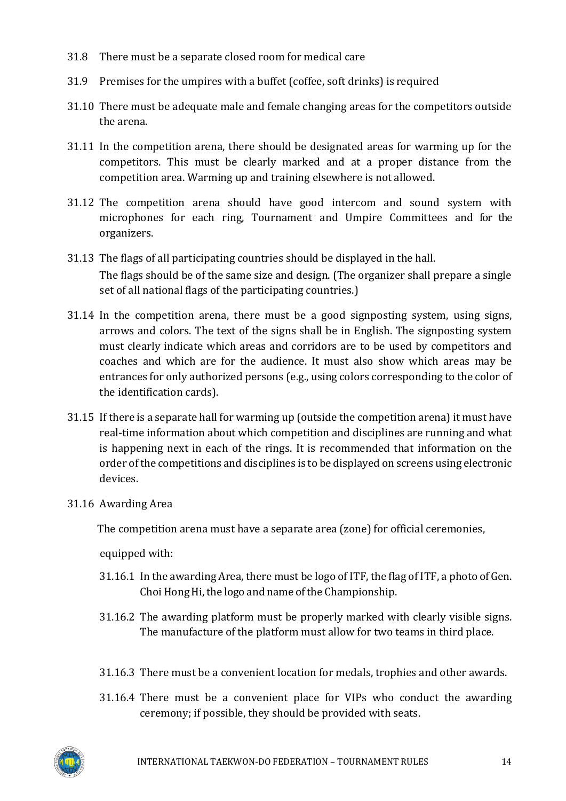- 31.8 There must be a separate closed room for medical care
- 31.9 Premises for the umpires with a buffet (coffee, soft drinks) is required
- 31.10 There must be adequate male and female changing areas for the competitors outside the arena.
- 31.11 In the competition arena, there should be designated areas for warming up for the competitors. This must be clearly marked and at a proper distance from the competition area. Warming up and training elsewhere is not allowed.
- 31.12 The competition arena should have good intercom and sound system with microphones for each ring, Tournament and Umpire Committees and for the organizers.
- 31.13 The flags of all participating countries should be displayed in the hall. The flags should be of the same size and design. (The organizer shall prepare a single set of all national flags of the participating countries.)
- 31.14 In the competition arena, there must be a good signposting system, using signs, arrows and colors. The text of the signs shall be in English. The signposting system must clearly indicate which areas and corridors are to be used by competitors and coaches and which are for the audience. It must also show which areas may be entrances for only authorized persons (e.g., using colors corresponding to the color of the identification cards).
- 31.15 If there is a separate hall for warming up (outside the competition arena) it must have real-time information about which competition and disciplines are running and what is happening next in each of the rings. It is recommended that information on the order of the competitions and disciplines is to be displayed on screens using electronic devices.
- 31.16 Awarding Area

The competition arena must have a separate area (zone) for official ceremonies,

equipped with:

- 31.16.1 In the awarding Area, there must be logo of ITF, the flag of ITF, a photo ofGen. Choi Hong Hi, the logo and name of the Championship.
- 31.16.2 The awarding platform must be properly marked with clearly visible signs. The manufacture of the platform must allow for two teams in third place.
- 31.16.3 There must be a convenient location for medals, trophies and other awards.
- 31.16.4 There must be a convenient place for VIPs who conduct the awarding ceremony; if possible, they should be provided with seats.

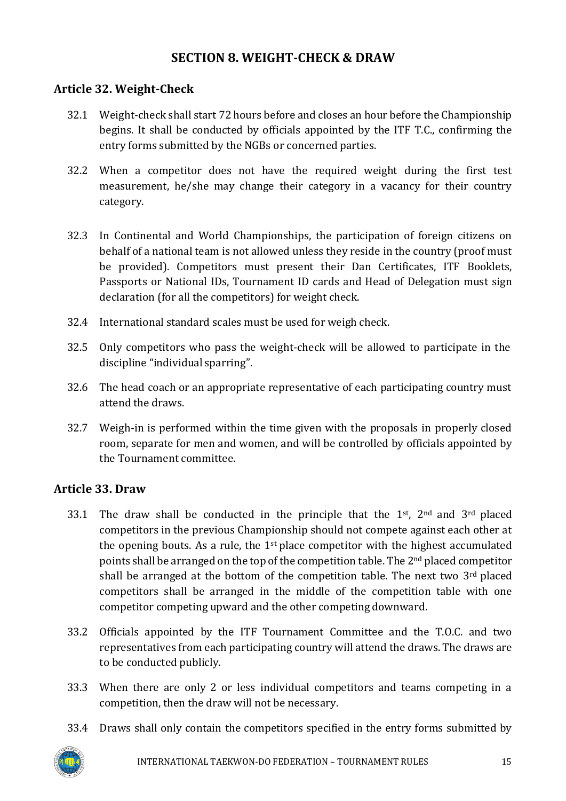# **SECTION 8. WEIGHT-CHECK & DRAW**

### <span id="page-14-1"></span><span id="page-14-0"></span>**Article 32. Weight-Check**

- 32.1 Weight-check shall start 72 hours before and closes an hour before the Championship begins. It shall be conducted by officials appointed by the ITF T.C., confirming the entry forms submitted by the NGBs or concerned parties.
- 32.2 When a competitor does not have the required weight during the first test measurement, he/she may change their category in a vacancy for their country category.
- 32.3 In Continental and World Championships, the participation of foreign citizens on behalf of a national team is not allowed unless they reside in the country (proof must be provided). Competitors must present their Dan Certificates, ITF Booklets, Passports or National IDs, Tournament ID cards and Head of Delegation must sign declaration (for all the competitors) for weight check.
- 32.4 International standard scales must be used for weigh check.
- 32.5 Only competitors who pass the weight-check will be allowed to participate in the discipline "individual sparring".
- 32.6 The head coach or an appropriate representative of each participating country must attend the draws.
- 32.7 Weigh-in is performed within the time given with the proposals in properly closed room, separate for men and women, and will be controlled by officials appointed by the Tournament committee.

### <span id="page-14-2"></span>**Article 33. Draw**

- 33.1 The draw shall be conducted in the principle that the  $1<sup>st</sup>$ ,  $2<sup>nd</sup>$  and  $3<sup>rd</sup>$  placed competitors in the previous Championship should not compete against each other at the opening bouts. As a rule, the  $1<sup>st</sup>$  place competitor with the highest accumulated points shall be arranged on the top of the competition table. The 2<sup>nd</sup> placed competitor shall be arranged at the bottom of the competition table. The next two  $3<sup>rd</sup>$  placed competitors shall be arranged in the middle of the competition table with one competitor competing upward and the other competing downward.
- 33.2 Officials appointed by the ITF Tournament Committee and the T.O.C. and two representatives from each participating country will attend the draws. The draws are to be conducted publicly.
- 33.3 When there are only 2 or less individual competitors and teams competing in a competition, then the draw will not be necessary.
- 33.4 Draws shall only contain the competitors specified in the entry forms submitted by

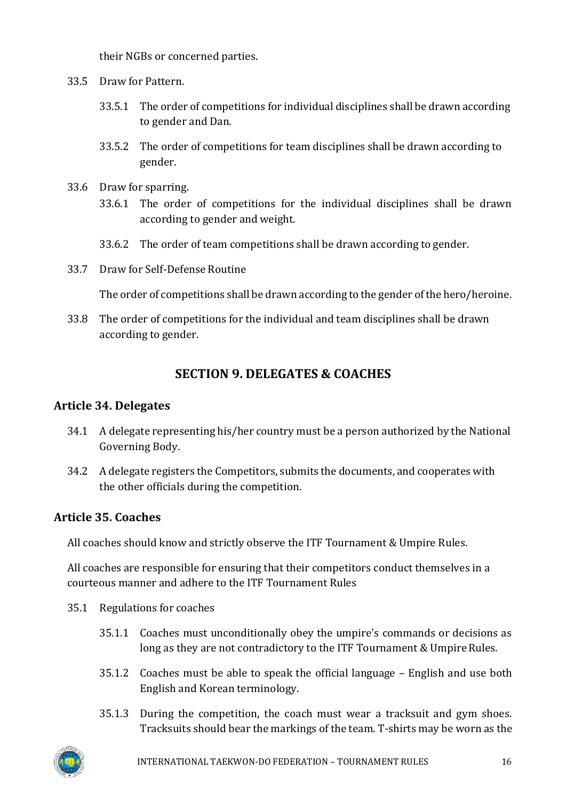their NGBs or concerned parties.

- 33.5 Draw for Pattern.
	- 33.5.1 The order of competitions for individual disciplines shall be drawn according to gender and Dan.
	- 33.5.2 The order of competitions for team disciplines shall be drawn according to gender.
- 33.6 Draw for sparring.
	- 33.6.1 The order of competitions for the individual disciplines shall be drawn according to gender and weight.
	- 33.6.2 The order of team competitions shall be drawn according to gender.
- 33.7 Draw for Self-Defense Routine

The order of competitions shall be drawn according to the gender of the hero/heroine.

<span id="page-15-0"></span>33.8 The order of competitions for the individual and team disciplines shall be drawn according to gender.

# **SECTION 9. DELEGATES & COACHES**

#### <span id="page-15-1"></span>**Article 34. Delegates**

- 34.1 A delegate representing his/her country must be a person authorized by the National Governing Body.
- 34.2 A delegate registers the Competitors, submits the documents, and cooperates with the other officials during the competition.

### <span id="page-15-2"></span>**Article 35. Coaches**

All coaches should know and strictly observe the ITF Tournament & Umpire Rules.

All coaches are responsible for ensuring that their competitors conduct themselves in a courteous manner and adhere to the ITF Tournament Rules

- 35.1 Regulations for coaches
	- 35.1.1 Coaches must unconditionally obey the umpire's commands or decisions as long as they are not contradictory to the ITF Tournament & Umpire Rules.
	- 35.1.2 Coaches must be able to speak the official language English and use both English and Korean terminology.
	- 35.1.3 During the competition, the coach must wear a tracksuit and gym shoes. Tracksuits should bear the markings of the team. T-shirts may be worn as the

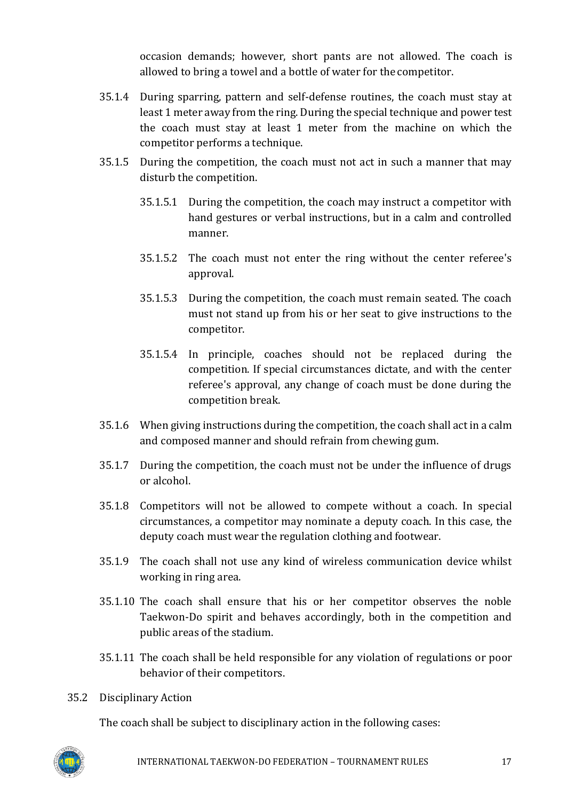occasion demands; however, short pants are not allowed. The coach is allowed to bring a towel and a bottle of water for the competitor.

- 35.1.4 During sparring, pattern and self-defense routines, the coach must stay at least 1 meter away from the ring. During the special technique and power test the coach must stay at least 1 meter from the machine on which the competitor performs a technique.
- 35.1.5 During the competition, the coach must not act in such a manner that may disturb the competition.
	- 35.1.5.1 During the competition, the coach may instruct a competitor with hand gestures or verbal instructions, but in a calm and controlled manner.
	- 35.1.5.2 The coach must not enter the ring without the center referee's approval.
	- 35.1.5.3 During the competition, the coach must remain seated. The coach must not stand up from his or her seat to give instructions to the competitor.
	- 35.1.5.4 In principle, coaches should not be replaced during the competition. If special circumstances dictate, and with the center referee's approval, any change of coach must be done during the competition break.
- 35.1.6 When giving instructions during the competition, the coach shall act in a calm and composed manner and should refrain from chewing gum.
- 35.1.7 During the competition, the coach must not be under the influence of drugs or alcohol.
- 35.1.8 Competitors will not be allowed to compete without a coach. In special circumstances, a competitor may nominate a deputy coach. In this case, the deputy coach must wear the regulation clothing and footwear.
- 35.1.9 The coach shall not use any kind of wireless communication device whilst working in ring area.
- 35.1.10 The coach shall ensure that his or her competitor observes the noble Taekwon-Do spirit and behaves accordingly, both in the competition and public areas of the stadium.
- 35.1.11 The coach shall be held responsible for any violation of regulations or poor behavior of their competitors.
- 35.2 Disciplinary Action

The coach shall be subject to disciplinary action in the following cases:

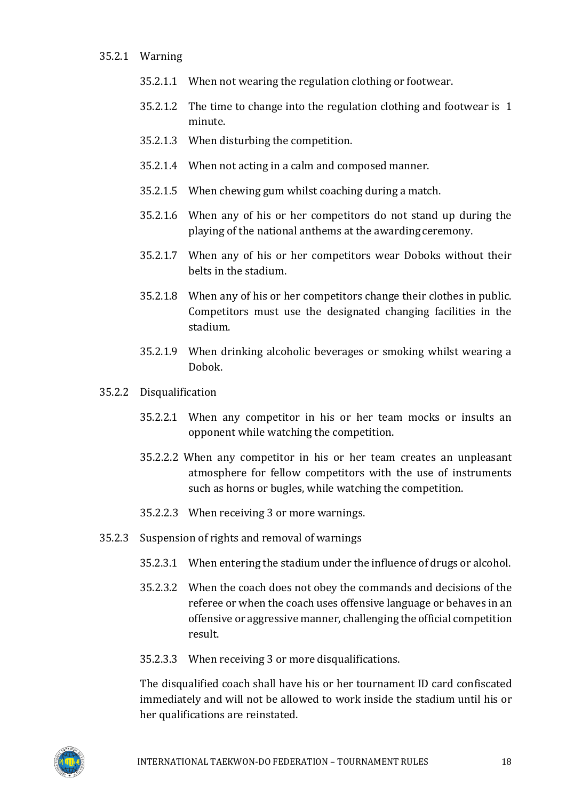- 35.2.1 Warning
	- 35.2.1.1 When not wearing the regulation clothing or footwear.
	- 35.2.1.2 The time to change into the regulation clothing and footwear is 1 minute.
	- 35.2.1.3 When disturbing the competition.
	- 35.2.1.4 When not acting in a calm and composed manner.
	- 35.2.1.5 When chewing gum whilst coaching during a match.
	- 35.2.1.6 When any of his or her competitors do not stand up during the playing of the national anthems at the awarding ceremony.
	- 35.2.1.7 When any of his or her competitors wear Doboks without their belts in the stadium.
	- 35.2.1.8 When any of his or her competitors change their clothes in public. Competitors must use the designated changing facilities in the stadium.
	- 35.2.1.9 When drinking alcoholic beverages or smoking whilst wearing a Dobok.
- 35.2.2 Disqualification
	- 35.2.2.1 When any competitor in his or her team mocks or insults an opponent while watching the competition.
	- 35.2.2.2 When any competitor in his or her team creates an unpleasant atmosphere for fellow competitors with the use of instruments such as horns or bugles, while watching the competition.
	- 35.2.2.3 When receiving 3 or more warnings.
- 35.2.3 Suspension of rights and removal of warnings
	- 35.2.3.1 When entering the stadium under the influence of drugs or alcohol.
	- 35.2.3.2 When the coach does not obey the commands and decisions of the referee or when the coach uses offensive language or behaves in an offensive or aggressive manner, challenging the official competition result.
	- 35.2.3.3 When receiving 3 or more disqualifications.

The disqualified coach shall have his or her tournament ID card confiscated immediately and will not be allowed to work inside the stadium until his or her qualifications are reinstated.

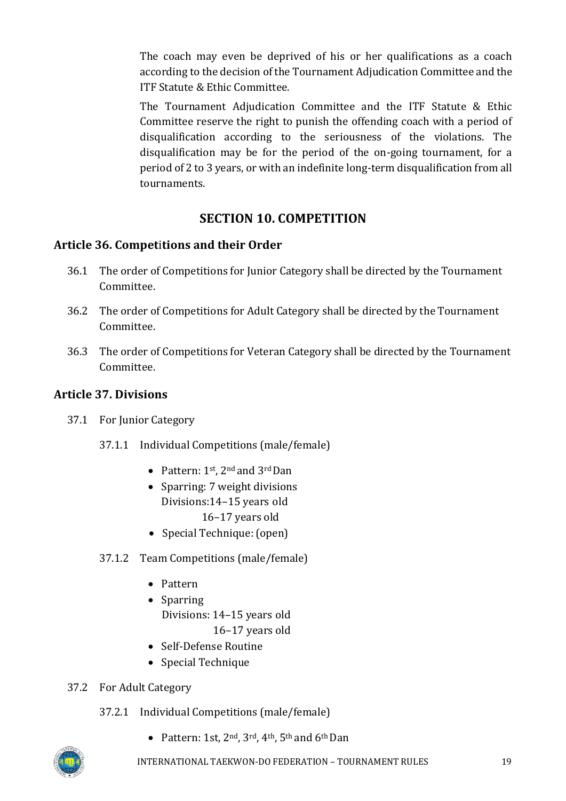The coach may even be deprived of his or her qualifications as a coach according to the decision of the Tournament Adjudication Committee and the ITF Statute & Ethic Committee.

The Tournament Adjudication Committee and the ITF Statute & Ethic Committee reserve the right to punish the offending coach with a period of disqualification according to the seriousness of the violations. The disqualification may be for the period of the on-going tournament, for a period of 2 to 3 years, or with an indefinite long-term disqualification from all tournaments.

# **SECTION 10. COMPETITION**

# <span id="page-18-1"></span><span id="page-18-0"></span>**Article 36. Compet**i**tions and their Order**

- 36.1 The order of Competitions for Junior Category shall be directed by the Tournament Committee.
- 36.2 The order of Competitions for Adult Category shall be directed by the Tournament Committee.
- 36.3 The order of Competitions for Veteran Category shall be directed by the Tournament Committee.

# <span id="page-18-2"></span>**Article 37. Divisions**

- 37.1 For Junior Category
	- 37.1.1 Individual Competitions (male/female)
		- Pattern:  $1^{st}$ ,  $2^{nd}$  and  $3^{rd}$  Dan
		- Sparring: 7 weight divisions Divisions:14–15 years old 16–17 years old
		- Special Technique: (open)
	- 37.1.2 Team Competitions (male/female)
		- Pattern
		- Sparring Divisions: 14–15 years old 16–17 years old
		- Self-Defense Routine
		- Special Technique
- 37.2 For Adult Category
	- 37.2.1 Individual Competitions (male/female)
		- Pattern: 1st,  $2^{nd}$ ,  $3^{rd}$ ,  $4^{th}$ ,  $5^{th}$  and  $6^{th}$  Dan

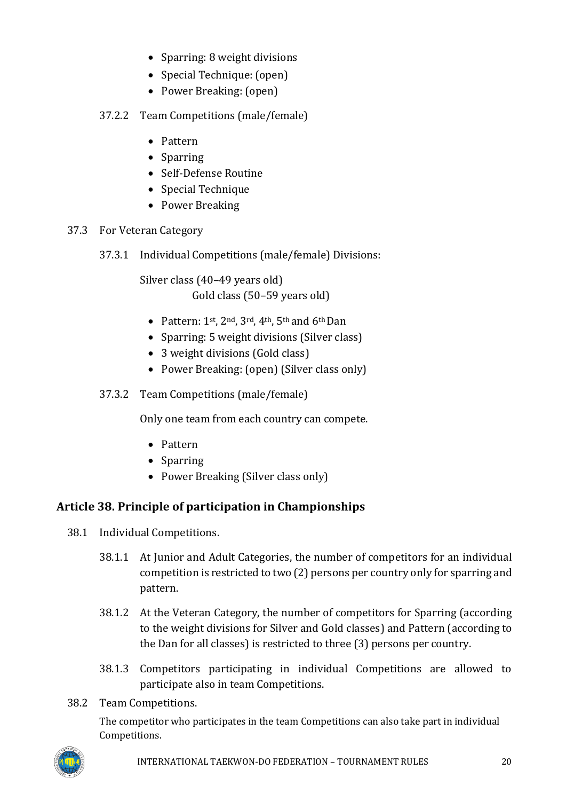- Sparring: 8 weight divisions
- Special Technique: (open)
- Power Breaking: (open)
- 37.2.2 Team Competitions (male/female)
	- Pattern
	- Sparring
	- Self-Defense Routine
	- Special Technique
	- Power Breaking
- 37.3 For Veteran Category
	- 37.3.1 Individual Competitions (male/female) Divisions:

Silver class (40–49 years old) Gold class (50–59 years old)

- Pattern:  $1^{st}$ ,  $2^{nd}$ ,  $3^{rd}$ ,  $4^{th}$ ,  $5^{th}$  and  $6^{th}$  Dan
- Sparring: 5 weight divisions (Silver class)
- 3 weight divisions (Gold class)
- Power Breaking: (open) (Silver class only)
- 37.3.2 Team Competitions (male/female)

Only one team from each country can compete.

- Pattern
- Sparring
- Power Breaking (Silver class only)

### <span id="page-19-0"></span>**Article 38. Principle of participation in Championships**

- 38.1 Individual Competitions.
	- 38.1.1 At Junior and Adult Categories, the number of competitors for an individual competition is restricted to two (2) persons per country only for sparring and pattern.
	- 38.1.2 At the Veteran Category, the number of competitors for Sparring (according to the weight divisions for Silver and Gold classes) and Pattern (according to the Dan for all classes) is restricted to three (3) persons per country.
	- 38.1.3 Competitors participating in individual Competitions are allowed to participate also in team Competitions.
- 38.2 Team Competitions.

The competitor who participates in the team Competitions can also take part in individual Competitions.

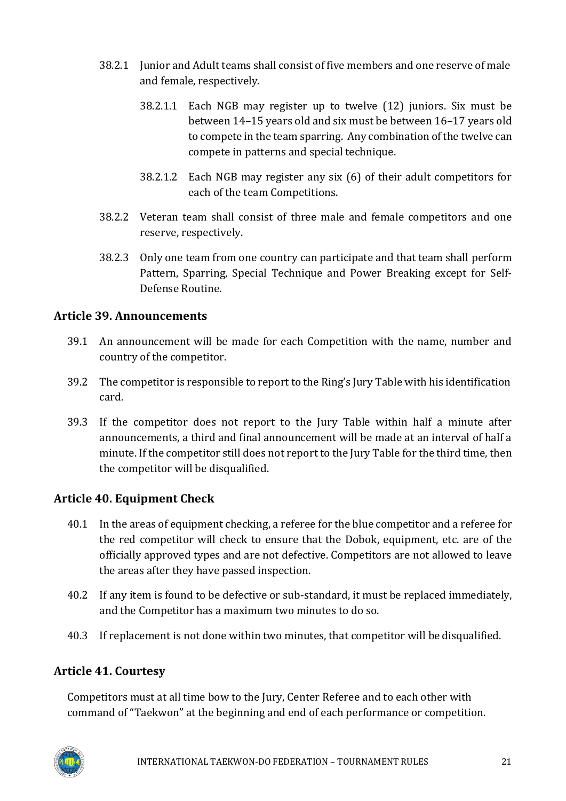- 38.2.1 Junior and Adult teams shall consist of five members and one reserve of male and female, respectively.
	- 38.2.1.1 Each NGB may register up to twelve (12) juniors. Six must be between 14–15 years old and six must be between 16–17 years old to compete in the team sparring. Any combination of the twelve can compete in patterns and special technique.
	- 38.2.1.2 Each NGB may register any six (6) of their adult competitors for each of the team Competitions.
- 38.2.2 Veteran team shall consist of three male and female competitors and one reserve, respectively.
- 38.2.3 Only one team from one country can participate and that team shall perform Pattern, Sparring, Special Technique and Power Breaking except for Self-Defense Routine.

### <span id="page-20-0"></span>**Article 39. Announcements**

- 39.1 An announcement will be made for each Competition with the name, number and country of the competitor.
- 39.2 The competitor is responsible to report to the Ring's Jury Table with his identification card.
- 39.3 If the competitor does not report to the Jury Table within half a minute after announcements, a third and final announcement will be made at an interval of half a minute. If the competitor still does not report to the Jury Table for the third time, then the competitor will be disqualified.

# <span id="page-20-1"></span>**Article 40. Equipment Check**

- 40.1 In the areas of equipment checking, a referee for the blue competitor and a referee for the red competitor will check to ensure that the Dobok, equipment, etc. are of the officially approved types and are not defective. Competitors are not allowed to leave the areas after they have passed inspection.
- 40.2 If any item is found to be defective or sub-standard, it must be replaced immediately, and the Competitor has a maximum two minutes to do so.
- 40.3 If replacement is not done within two minutes, that competitor will be disqualified.

# <span id="page-20-2"></span>**Article 41. Courtesy**

Competitors must at all time bow to the Jury, Center Referee and to each other with command of "Taekwon" at the beginning and end of each performance or competition.

<span id="page-20-3"></span>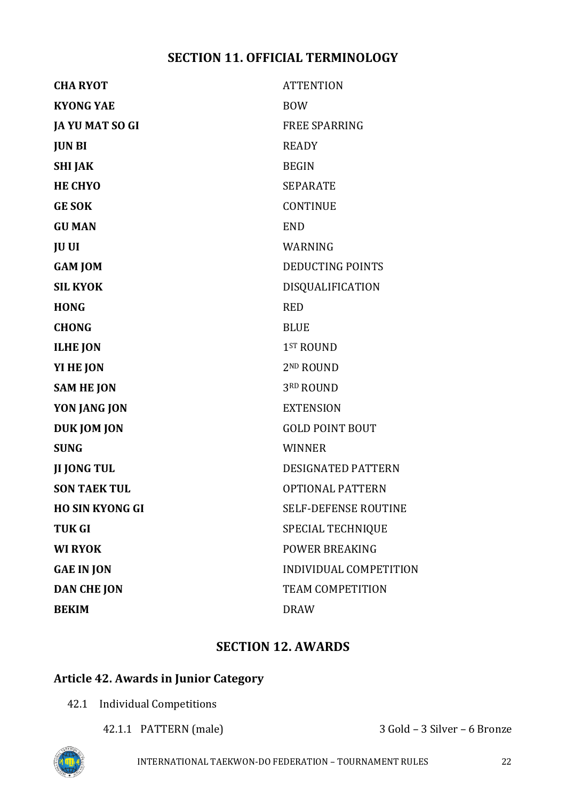# **SECTION 11. OFFICIAL TERMINOLOGY**

| <b>CHA RYOT</b>        | <b>ATTENTION</b>            |
|------------------------|-----------------------------|
| <b>KYONG YAE</b>       | <b>BOW</b>                  |
| JA YU MAT SO GI        | <b>FREE SPARRING</b>        |
| <b>JUN BI</b>          | <b>READY</b>                |
| <b>SHI JAK</b>         | <b>BEGIN</b>                |
| <b>HE CHYO</b>         | <b>SEPARATE</b>             |
| <b>GE SOK</b>          | <b>CONTINUE</b>             |
| <b>GU MAN</b>          | <b>END</b>                  |
| <b>JU UI</b>           | WARNING                     |
| <b>GAM JOM</b>         | <b>DEDUCTING POINTS</b>     |
| <b>SIL KYOK</b>        | DISQUALIFICATION            |
| <b>HONG</b>            | <b>RED</b>                  |
| <b>CHONG</b>           | <b>BLUE</b>                 |
| <b>ILHE JON</b>        | 1 <sup>ST</sup> ROUND       |
| YI HE JON              | 2 <sup>ND</sup> ROUND       |
| <b>SAM HE JON</b>      | 3RD ROUND                   |
| YON JANG JON           | <b>EXTENSION</b>            |
| DUK JOM JON            | <b>GOLD POINT BOUT</b>      |
| <b>SUNG</b>            | <b>WINNER</b>               |
| <b>JI JONG TUL</b>     | <b>DESIGNATED PATTERN</b>   |
| <b>SON TAEK TUL</b>    | <b>OPTIONAL PATTERN</b>     |
| <b>HO SIN KYONG GI</b> | <b>SELF-DEFENSE ROUTINE</b> |
| <b>TUK GI</b>          | <b>SPECIAL TECHNIQUE</b>    |
| <b>WI RYOK</b>         | POWER BREAKING              |
| <b>GAE IN JON</b>      | INDIVIDUAL COMPETITION      |
| <b>DAN CHE JON</b>     | <b>TEAM COMPETITION</b>     |
| <b>BEKIM</b>           | <b>DRAW</b>                 |
|                        |                             |

# **SECTION 12. AWARDS**

# <span id="page-21-1"></span><span id="page-21-0"></span>**Article 42. Awards in Junior Category**

- 42.1 Individual Competitions
	-

42.1.1 PATTERN (male) 3 Gold – 3 Silver – 6 Bronze

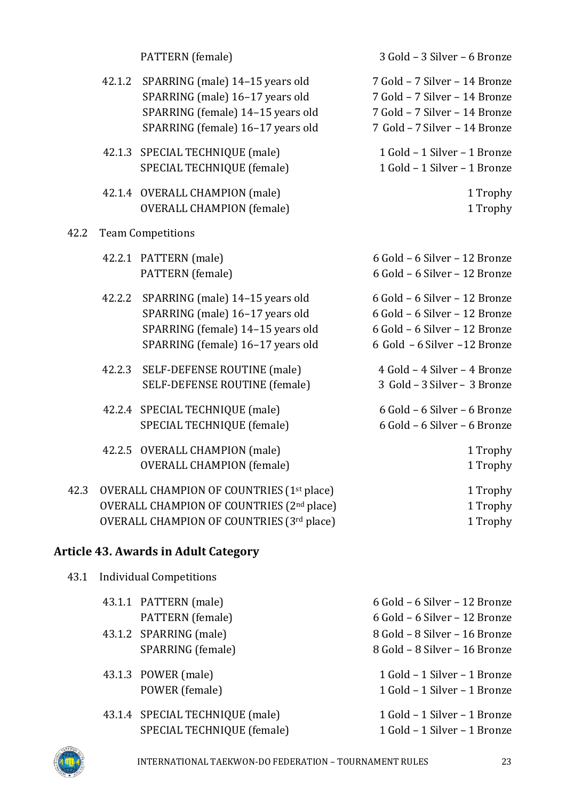| 42.1.2 SPARRING (male) 14-15 years old |
|----------------------------------------|
| SPARRING (male) 16-17 years old        |
| SPARRING (female) 14-15 years old      |
| SPARRING (female) 16-17 years old      |
|                                        |

- 42.1.3 SPECIAL TECHNIQUE (male) 1 Gold 1 Silver 1 Bronze SPECIAL TECHNIQUE (female) 1 Gold - 1 Silver - 1 Bronze
- 42.1.4 OVERALL CHAMPION (male) 1 Trophy OVERALL CHAMPION (female) 1 Trophy

#### 42.2 Team Competitions

- 
- 42.2.2 SPARRING (male) 14–15 years old 6 Gold 6 Silver 12 Bronze SPARRING (male) 16–17 years old 6 Gold – 6 Silver – 12 Bronze SPARRING (female) 14–15 years old 6 Gold – 6 Silver – 12 Bronze SPARRING (female) 16–17 years old 6 Gold – 6 Silver –12 Bronze
- 42.2.3 SELF-DEFENSE ROUTINE (male) 4 Gold 4 Silver 4 Bronze SELF-DEFENSE ROUTINE (female) 3 Gold – 3 Silver – 3 Bronze
- 42.2.4 SPECIAL TECHNIQUE (male) 6 Gold 6 Silver 6 Bronze SPECIAL TECHNIQUE (female) 6 Gold – 6 Silver – 6 Bronze
- 42.2.5 OVERALL CHAMPION (male) 1 Trophy OVERALL CHAMPION (female) 1 Trophy
- 42.3 OVERALL CHAMPION OF COUNTRIES (1<sup>st</sup> place) 1 Trophy OVERALL CHAMPION OF COUNTRIES (2<sup>nd</sup> place) 1 Trophy OVERALL CHAMPION OF COUNTRIES (3rd place) 1 Trophy

# <span id="page-22-0"></span>**Article 43. Awards in Adult Category**

| 43.1 | <b>Individual Competitions</b> |
|------|--------------------------------|
|      |                                |

| 43.1.1 PATTERN (male)           | 6 Gold - 6 Silver - 12 Bronze |
|---------------------------------|-------------------------------|
| PATTERN (female)                | 6 Gold - 6 Silver - 12 Bronze |
| 43.1.2 SPARRING (male)          | 8 Gold - 8 Silver - 16 Bronze |
| SPARRING (female)               | 8 Gold - 8 Silver - 16 Bronze |
|                                 |                               |
| 43.1.3 POWER (male)             | 1 Gold - 1 Silver - 1 Bronze  |
| POWER (female)                  | 1 Gold - 1 Silver - 1 Bronze  |
| 43.1.4 SPECIAL TECHNIQUE (male) | 1 Gold - 1 Silver - 1 Bronze  |
|                                 |                               |
| SPECIAL TECHNIQUE (female)      | 1 Gold - 1 Silver - 1 Bronze  |



7 Gold – 7 Silver – 14 Bronze 7 Gold – 7 Silver – 14 Bronze SPARRING (female) 14–15 years old 7 Gold – 7 Silver – 14 Bronze SPARRING (female) 16–17 years old 7 Gold – 7 Silver – 14 Bronze 42.2.1 PATTERN (male) 6 Gold – 6 Silver – 12 Bronze PATTERN (female) 6 Gold – 6 Silver – 12 Bronze

3 Gold – 3 Silver – 6 Bronze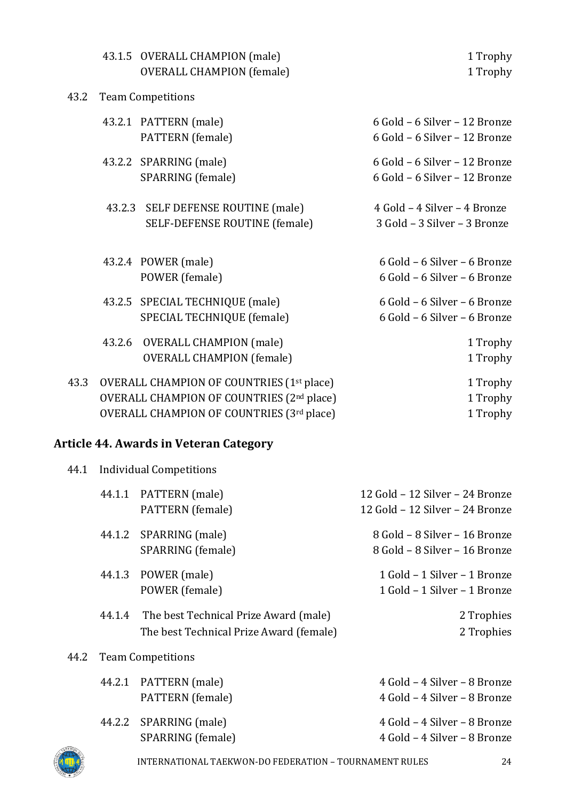|      |        | 43.1.5 OVERALL CHAMPION (male)                        | 1 Trophy                      |
|------|--------|-------------------------------------------------------|-------------------------------|
|      |        | <b>OVERALL CHAMPION (female)</b>                      | 1 Trophy                      |
| 43.2 |        | <b>Team Competitions</b>                              |                               |
|      |        | 43.2.1 PATTERN (male)                                 | 6 Gold - 6 Silver - 12 Bronze |
|      |        | PATTERN (female)                                      | 6 Gold - 6 Silver - 12 Bronze |
|      |        | 43.2.2 SPARRING (male)                                | 6 Gold - 6 Silver - 12 Bronze |
|      |        | SPARRING (female)                                     | 6 Gold - 6 Silver - 12 Bronze |
|      |        | 43.2.3 SELF DEFENSE ROUTINE (male)                    | 4 Gold - 4 Silver - 4 Bronze  |
|      |        | SELF-DEFENSE ROUTINE (female)                         | 3 Gold - 3 Silver - 3 Bronze  |
|      |        |                                                       |                               |
|      |        | 43.2.4 POWER (male)                                   | 6 Gold - 6 Silver - 6 Bronze  |
|      |        | POWER (female)                                        | 6 Gold - 6 Silver - 6 Bronze  |
|      |        | 43.2.5 SPECIAL TECHNIQUE (male)                       | 6 Gold - 6 Silver - 6 Bronze  |
|      |        | SPECIAL TECHNIQUE (female)                            | 6 Gold - 6 Silver - 6 Bronze  |
|      | 43.2.6 | <b>OVERALL CHAMPION (male)</b>                        | 1 Trophy                      |
|      |        | <b>OVERALL CHAMPION (female)</b>                      | 1 Trophy                      |
| 43.3 |        | OVERALL CHAMPION OF COUNTRIES (1 <sup>st</sup> place) | 1 Trophy                      |
|      |        | OVERALL CHAMPION OF COUNTRIES (2nd place)             | 1 Trophy                      |
|      |        | OVERALL CHAMPION OF COUNTRIES (3rd place)             | 1 Trophy                      |

# <span id="page-23-0"></span>**Article 44. Awards in Veteran Category**

| 44.1 | <b>Individual Competitions</b> |                                                                                         |                                                                    |
|------|--------------------------------|-----------------------------------------------------------------------------------------|--------------------------------------------------------------------|
|      |                                | 44.1.1 PATTERN (male)<br>PATTERN (female)                                               | 12 Gold - 12 Silver - 24 Bronze<br>12 Gold - 12 Silver - 24 Bronze |
|      |                                | 44.1.2 SPARRING (male)<br>SPARRING (female)                                             | 8 Gold - 8 Silver - 16 Bronze<br>8 Gold - 8 Silver - 16 Bronze     |
|      |                                | 44.1.3 POWER (male)<br>POWER (female)                                                   | 1 Gold - 1 Silver - 1 Bronze<br>1 Gold - 1 Silver - 1 Bronze       |
|      |                                | 44.1.4 The best Technical Prize Award (male)<br>The best Technical Prize Award (female) | 2 Trophies<br>2 Trophies                                           |
| 44.2 |                                | <b>Team Competitions</b>                                                                |                                                                    |
|      |                                | 44.2.1 PATTERN (male)<br>PATTERN (female)                                               | 4 Gold - 4 Silver - 8 Bronze<br>4 Gold - 4 Silver - 8 Bronze       |
|      |                                | 44.2.2 SPARRING (male)<br>SPARRING (female)                                             | 4 Gold - 4 Silver - 8 Bronze<br>4 Gold - 4 Silver - 8 Bronze       |

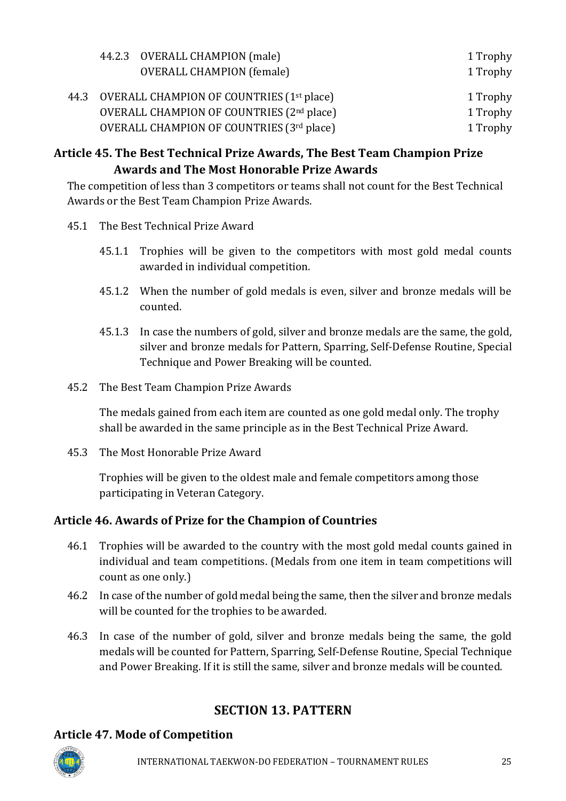<span id="page-24-0"></span>

|  | 44.2.3 OVERALL CHAMPION (male)                             | 1 Trophy |
|--|------------------------------------------------------------|----------|
|  | <b>OVERALL CHAMPION (female)</b>                           | 1 Trophy |
|  | 44.3 OVERALL CHAMPION OF COUNTRIES (1 <sup>st</sup> place) | 1 Trophy |
|  | OVERALL CHAMPION OF COUNTRIES (2nd place)                  | 1 Trophy |
|  | OVERALL CHAMPION OF COUNTRIES (3rd place)                  | 1 Trophy |

# **Article 45. The Best Technical Prize Awards, The Best Team Champion Prize Awards and The Most Honorable Prize Awards**

The competition of less than 3 competitors or teams shall not count for the Best Technical Awards or the Best Team Champion Prize Awards.

- 45.1 The Best Technical Prize Award
	- 45.1.1 Trophies will be given to the competitors with most gold medal counts awarded in individual competition.
	- 45.1.2 When the number of gold medals is even, silver and bronze medals will be counted.
	- 45.1.3 In case the numbers of gold, silver and bronze medals are the same, the gold, silver and bronze medals for Pattern, Sparring, Self-Defense Routine, Special Technique and Power Breaking will be counted.
- 45.2 The Best Team Champion Prize Awards

The medals gained from each item are counted as one gold medal only. The trophy shall be awarded in the same principle as in the Best Technical Prize Award.

45.3 The Most Honorable Prize Award

Trophies will be given to the oldest male and female competitors among those participating in Veteran Category.

# <span id="page-24-1"></span>**Article 46. Awards of Prize for the Champion of Countries**

- 46.1 Trophies will be awarded to the country with the most gold medal counts gained in individual and team competitions. (Medals from one item in team competitions will count as one only.)
- 46.2 In case of the number of gold medal being the same, then the silver and bronze medals will be counted for the trophies to be awarded.
- 46.3 In case of the number of gold, silver and bronze medals being the same, the gold medals will be counted for Pattern, Sparring, Self-Defense Routine, Special Technique and Power Breaking. If it is still the same, silver and bronze medals will be counted.

# **SECTION 13. PATTERN**

# <span id="page-24-3"></span><span id="page-24-2"></span>**Article 47. Mode of Competition**

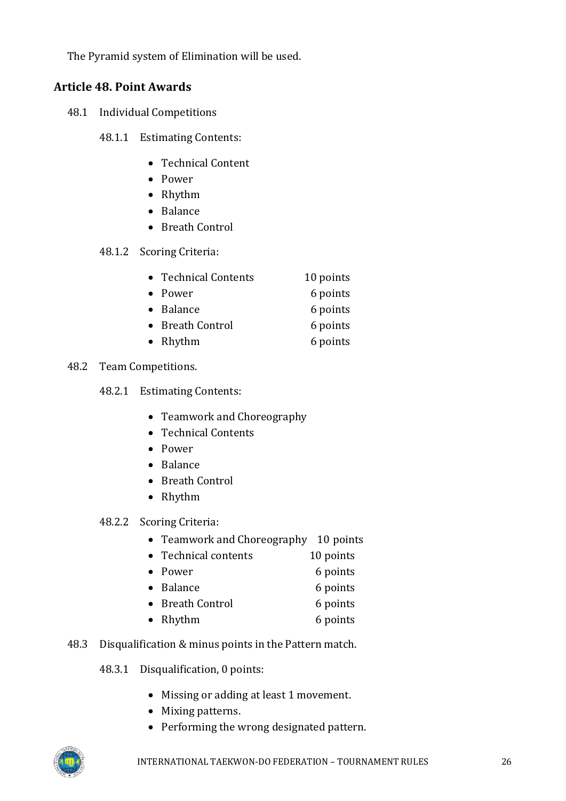The Pyramid system of Elimination will be used.

### <span id="page-25-0"></span>**Article 48. Point Awards**

- 48.1 Individual Competitions
	- 48.1.1 Estimating Contents:
		- Technical Content
		- Power
		- Rhythm
		- Balance
		- Breath Control

#### 48.1.2 Scoring Criteria:

| • Technical Contents | 10 points |
|----------------------|-----------|
| • Power              | 6 points  |
| • Balance            | 6 points  |
| • Breath Control     | 6 points  |
| • Rhythm             | 6 points  |

#### 48.2 Team Competitions.

- 48.2.1 Estimating Contents:
	- Teamwork and Choreography
	- Technical Contents
	- Power
	- Balance
	- Breath Control
	- Rhythm
- 48.2.2 Scoring Criteria:
	- Teamwork and Choreography 10 points
	- Technical contents 10 points
	- Power 6 points
	- Balance 6 points
	- Breath Control 6 points
	- Rhythm 6 points

### 48.3 Disqualification & minus points in the Pattern match.

- 48.3.1 Disqualification, 0 points:
	- Missing or adding at least 1 movement.
	- Mixing patterns.
	- Performing the wrong designated pattern.

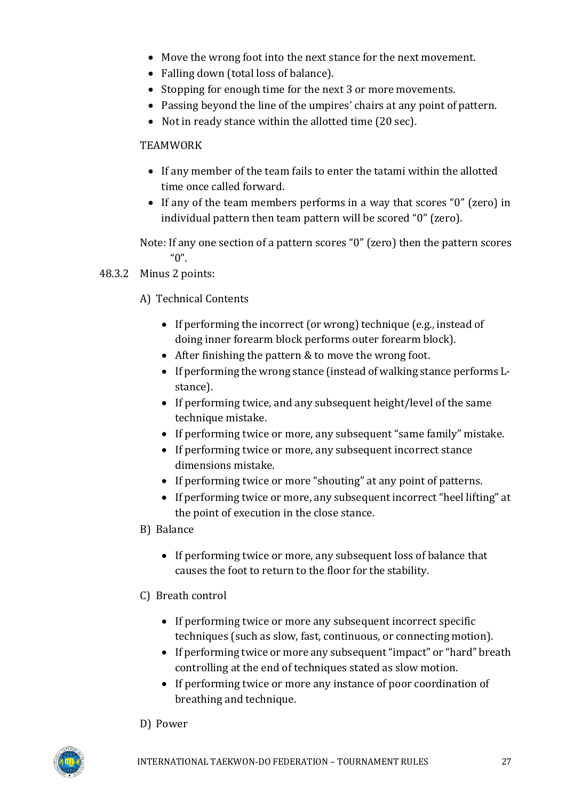- Move the wrong foot into the next stance for the next movement.
- Falling down (total loss of balance).
- Stopping for enough time for the next 3 or more movements.
- Passing beyond the line of the umpires' chairs at any point of pattern.
- Not in ready stance within the allotted time (20 sec).

### TEAMWORK

- If any member of the team fails to enter the tatami within the allotted time once called forward.
- If any of the team members performs in a way that scores "0" (zero) in individual pattern then team pattern will be scored "0" (zero).

Note: If any one section of a pattern scores "0" (zero) then the pattern scores  $"0"$ .

- 48.3.2 Minus 2 points:
	- A) Technical Contents
		- If performing the incorrect (or wrong) technique (e.g., instead of doing inner forearm block performs outer forearm block).
		- After finishing the pattern & to move the wrong foot.
		- If performing the wrong stance (instead of walking stance performs Lstance).
		- If performing twice, and any subsequent height/level of the same technique mistake.
		- If performing twice or more, any subsequent "same family" mistake.
		- If performing twice or more, any subsequent incorrect stance dimensions mistake.
		- If performing twice or more "shouting" at any point of patterns.
		- If performing twice or more, any subsequent incorrect "heel lifting" at the point of execution in the close stance.
	- B) Balance
		- If performing twice or more, any subsequent loss of balance that causes the foot to return to the floor for the stability.

# C) Breath control

- If performing twice or more any subsequent incorrect specific techniques (such as slow, fast, continuous, or connecting motion).
- If performing twice or more any subsequent "impact" or "hard" breath controlling at the end of techniques stated as slow motion.
- If performing twice or more any instance of poor coordination of breathing and technique.

#### D) Power

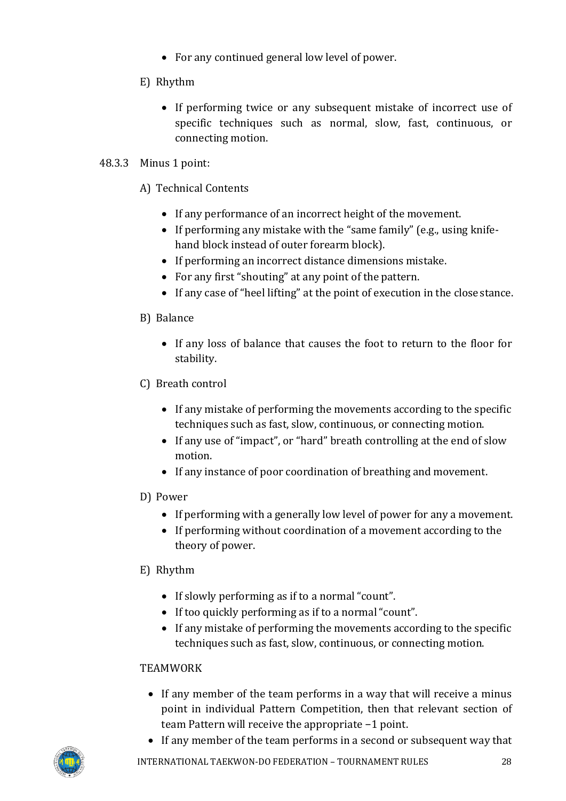- For any continued general low level of power.
- E) Rhythm
	- If performing twice or any subsequent mistake of incorrect use of specific techniques such as normal, slow, fast, continuous, or connecting motion.

### 48.3.3 Minus 1 point:

- A) Technical Contents
	- If any performance of an incorrect height of the movement.
	- If performing any mistake with the "same family" (e.g., using knifehand block instead of outer forearm block).
	- If performing an incorrect distance dimensions mistake.
	- For any first "shouting" at any point of the pattern.
	- If any case of "heel lifting" at the point of execution in the close stance.

### B) Balance

- If any loss of balance that causes the foot to return to the floor for stability.
- C) Breath control
	- If any mistake of performing the movements according to the specific techniques such as fast, slow, continuous, or connecting motion.
	- If any use of "impact", or "hard" breath controlling at the end of slow motion.
	- If any instance of poor coordination of breathing and movement.

### D) Power

- If performing with a generally low level of power for any a movement.
- If performing without coordination of a movement according to the theory of power.

### E) Rhythm

- If slowly performing as if to a normal "count".
- If too quickly performing as if to a normal "count".
- If any mistake of performing the movements according to the specific techniques such as fast, slow, continuous, or connecting motion.

### TEAMWORK

- If any member of the team performs in a way that will receive a minus point in individual Pattern Competition, then that relevant section of team Pattern will receive the appropriate −1 point.
- If any member of the team performs in a second or subsequent way that

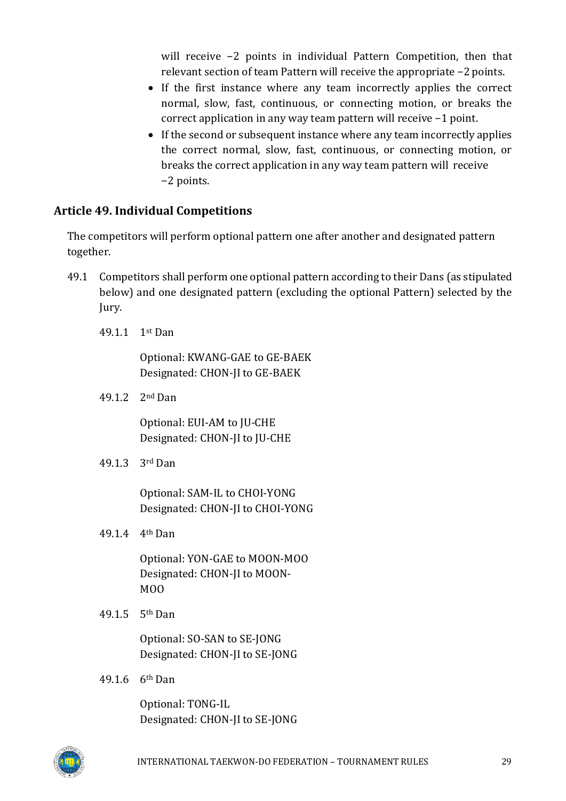will receive −2 points in individual Pattern Competition, then that relevant section of team Pattern will receive the appropriate −2 points.

- If the first instance where any team incorrectly applies the correct normal, slow, fast, continuous, or connecting motion, or breaks the correct application in any way team pattern will receive −1 point.
- If the second or subsequent instance where any team incorrectly applies the correct normal, slow, fast, continuous, or connecting motion, or breaks the correct application in any way team pattern will receive −2 points.

### <span id="page-28-0"></span>**Article 49. Individual Competitions**

The competitors will perform optional pattern one after another and designated pattern together.

- 49.1 Competitors shall perform one optional pattern according to their Dans (as stipulated below) and one designated pattern (excluding the optional Pattern) selected by the Jury.
	- 49.1.1 1st Dan

Optional: KWANG-GAE to GE-BAEK Designated: CHON-JI to GE-BAEK

49.1.2 2nd Dan

Optional: EUI-AM to JU-CHE Designated: CHON-JI to JU-CHE

49.1.3 3rd Dan

Optional: SAM-IL to CHOI-YONG Designated: CHON-JI to CHOI-YONG

49.1.4 4th Dan

Optional: YON-GAE to MOON-MOO Designated: CHON-JI to MOON-MOO

49.1.5 5th Dan

Optional: SO-SAN to SE-JONG Designated: CHON-JI to SE-JONG

49.1.6 6th Dan

Optional: TONG-IL Designated: CHON-JI to SE-JONG

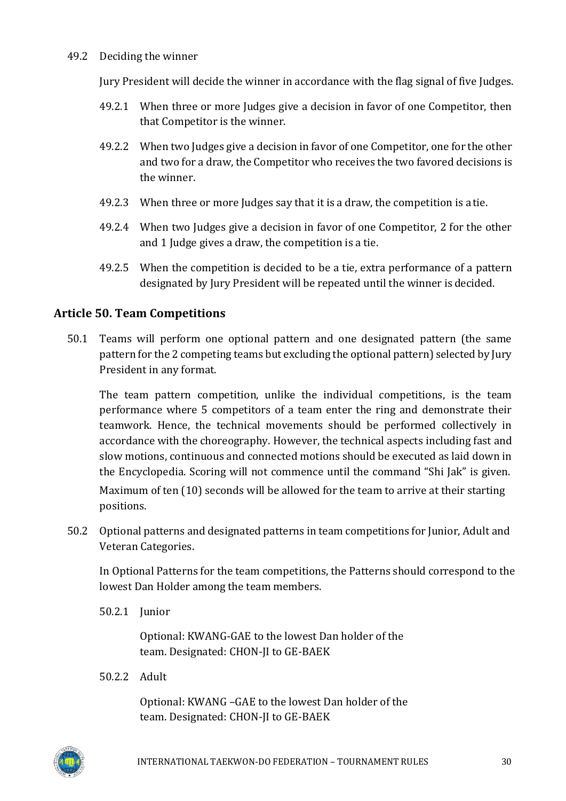#### 49.2 Deciding the winner

Jury President will decide the winner in accordance with the flag signal of five Judges.

- 49.2.1 When three or more Judges give a decision in favor of one Competitor, then that Competitor is the winner.
- 49.2.2 When two Judges give a decision in favor of one Competitor, one for the other and two for a draw, the Competitor who receives the two favored decisions is the winner.
- 49.2.3 When three or more Judges say that it is a draw, the competition is a tie.
- 49.2.4 When two Judges give a decision in favor of one Competitor, 2 for the other and 1 Judge gives a draw, the competition is a tie.
- 49.2.5 When the competition is decided to be a tie, extra performance of a pattern designated by Jury President will be repeated until the winner is decided.

### <span id="page-29-0"></span>**Article 50. Team Competitions**

50.1 Teams will perform one optional pattern and one designated pattern (the same pattern for the 2 competing teams but excluding the optional pattern) selected by Jury President in any format.

The team pattern competition, unlike the individual competitions, is the team performance where 5 competitors of a team enter the ring and demonstrate their teamwork. Hence, the technical movements should be performed collectively in accordance with the choreography. However, the technical aspects including fast and slow motions, continuous and connected motions should be executed as laid down in the Encyclopedia. Scoring will not commence until the command "Shi Jak" is given.

Maximum of ten (10) seconds will be allowed for the team to arrive at their starting positions.

50.2 Optional patterns and designated patterns in team competitions for Junior, Adult and Veteran Categories.

In Optional Patterns for the team competitions, the Patterns should correspond to the lowest Dan Holder among the team members.

50.2.1 Junior

Optional: KWANG-GAE to the lowest Dan holder of the team. Designated: CHON-JI to GE-BAEK

50.2.2 Adult

Optional: KWANG –GAE to the lowest Dan holder of the team. Designated: CHON-JI to GE-BAEK

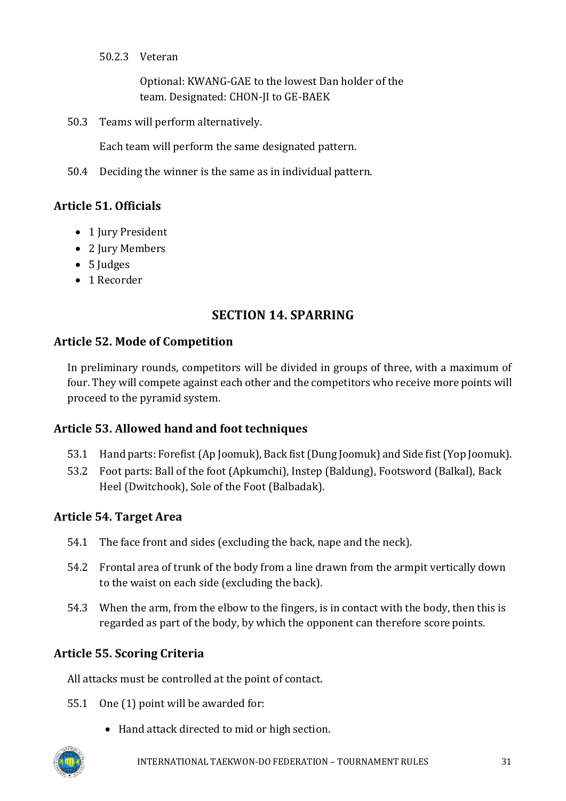50.2.3 Veteran

Optional: KWANG-GAE to the lowest Dan holder of the team. Designated: CHON-JI to GE-BAEK

50.3 Teams will perform alternatively.

Each team will perform the same designated pattern.

50.4 Deciding the winner is the same as in individual pattern.

# <span id="page-30-0"></span>**Article 51. Officials**

- 1 Jury President
- 2 Jury Members
- 5 Judges
- 1 Recorder

# **SECTION 14. SPARRING**

### <span id="page-30-2"></span><span id="page-30-1"></span>**Article 52. Mode of Competition**

In preliminary rounds, competitors will be divided in groups of three, with a maximum of four. They will compete against each other and the competitors who receive more points will proceed to the pyramid system.

# <span id="page-30-3"></span>**Article 53. Allowed hand and foot techniques**

- 53.1 Hand parts: Forefist(Ap Joomuk), Back fist(Dung Joomuk) and Side fist(Yop Joomuk).
- 53.2 Foot parts: Ball of the foot (Apkumchi), Instep (Baldung), Footsword (Balkal), Back Heel (Dwitchook), Sole of the Foot (Balbadak).

# <span id="page-30-4"></span>**Article 54. Target Area**

- 54.1 The face front and sides (excluding the back, nape and the neck).
- 54.2 Frontal area of trunk of the body from a line drawn from the armpit vertically down to the waist on each side (excluding the back).
- 54.3 When the arm, from the elbow to the fingers, is in contact with the body, then this is regarded as part of the body, by which the opponent can therefore score points.

# <span id="page-30-5"></span>**Article 55. Scoring Criteria**

All attacks must be controlled at the point of contact.

- 55.1 One (1) point will be awarded for:
	- Hand attack directed to mid or high section.

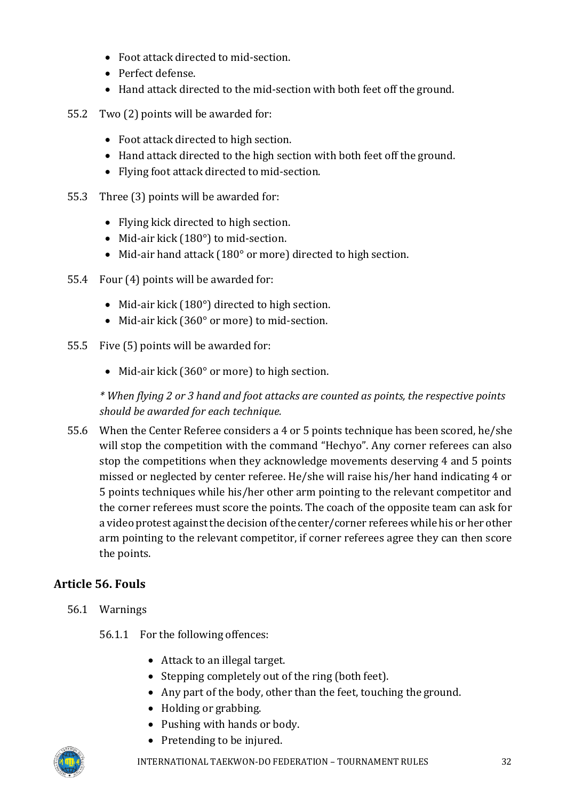- Foot attack directed to mid-section.
- Perfect defense.
- Hand attack directed to the mid-section with both feet off the ground.
- 55.2 Two (2) points will be awarded for:
	- Foot attack directed to high section.
	- Hand attack directed to the high section with both feet off the ground.
	- Flying foot attack directed to mid-section.
- 55.3 Three (3) points will be awarded for:
	- Flying kick directed to high section.
	- Mid-air kick (180°) to mid-section.
	- Mid-air hand attack (180° or more) directed to high section.
- 55.4 Four (4) points will be awarded for:
	- Mid-air kick (180°) directed to high section.
	- Mid-air kick (360° or more) to mid-section.
- 55.5 Five (5) points will be awarded for:
	- Mid-air kick (360° or more) to high section.

*\* When flying 2 or 3 hand and foot attacks are counted as points, the respective points should be awarded for each technique.*

55.6 When the Center Referee considers a 4 or 5 points technique has been scored, he/she will stop the competition with the command "Hechyo". Any corner referees can also stop the competitions when they acknowledge movements deserving 4 and 5 points missed or neglected by center referee. He/she will raise his/her hand indicating 4 or 5 points techniques while his/her other arm pointing to the relevant competitor and the corner referees must score the points. The coach of the opposite team can ask for a video protest againstthe decision ofthe center/corner refereeswhile his or her other arm pointing to the relevant competitor, if corner referees agree they can then score the points.

# <span id="page-31-0"></span>**Article 56. Fouls**

- 56.1 Warnings
	- 56.1.1 For the following offences:
		- Attack to an illegal target.
		- Stepping completely out of the ring (both feet).
		- Any part of the body, other than the feet, touching the ground.
		- Holding or grabbing.
		- Pushing with hands or body.
		- Pretending to be injured.

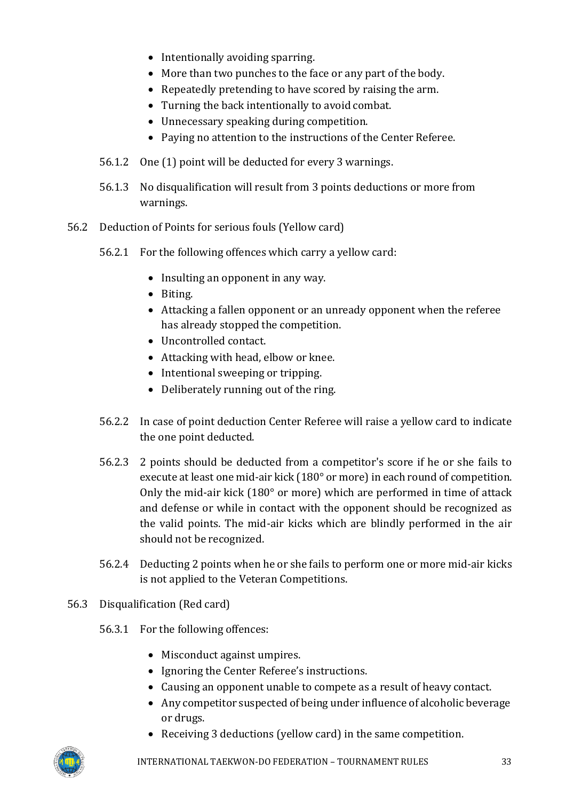- Intentionally avoiding sparring.
- More than two punches to the face or any part of the body.
- Repeatedly pretending to have scored by raising the arm.
- Turning the back intentionally to avoid combat.
- Unnecessary speaking during competition.
- Paying no attention to the instructions of the Center Referee.
- 56.1.2 One (1) point will be deducted for every 3 warnings.
- 56.1.3 No disqualification will result from 3 points deductions or more from warnings.
- 56.2 Deduction of Points for serious fouls (Yellow card)
	- 56.2.1 For the following offences which carry a yellow card:
		- Insulting an opponent in any way.
		- Biting.
		- Attacking a fallen opponent or an unready opponent when the referee has already stopped the competition.
		- Uncontrolled contact.
		- Attacking with head, elbow or knee.
		- Intentional sweeping or tripping.
		- Deliberately running out of the ring.
	- 56.2.2 In case of point deduction Center Referee will raise a yellow card to indicate the one point deducted.
	- 56.2.3 2 points should be deducted from a competitor's score if he or she fails to execute at least one mid-air kick (180° or more) in each round of competition. Only the mid-air kick (180° or more) which are performed in time of attack and defense or while in contact with the opponent should be recognized as the valid points. The mid-air kicks which are blindly performed in the air should not be recognized.
	- 56.2.4 Deducting 2 points when he or she fails to perform one or more mid-air kicks is not applied to the Veteran Competitions.
- 56.3 Disqualification (Red card)
	- 56.3.1 For the following offences:
		- Misconduct against umpires.
		- Ignoring the Center Referee's instructions.
		- Causing an opponent unable to compete as a result of heavy contact.
		- Any competitor suspected of being under influence of alcoholic beverage or drugs.
		- Receiving 3 deductions (yellow card) in the same competition.

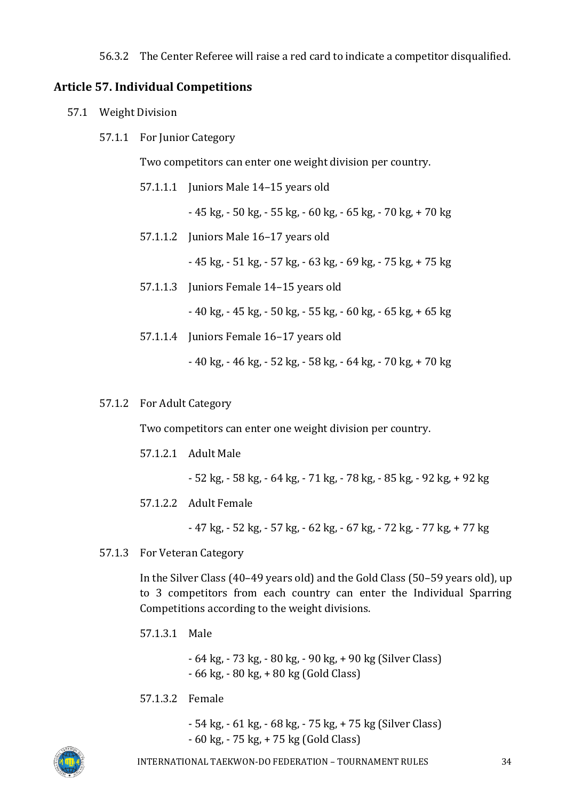56.3.2 The Center Referee will raise a red card to indicate a competitor disqualified.

#### <span id="page-33-0"></span>**Article 57. Individual Competitions**

- 57.1 Weight Division
	- 57.1.1 For Junior Category

Two competitors can enter one weight division per country.

57.1.1.1 Juniors Male 14–15 years old

- 45 kg, - 50 kg, - 55 kg, - 60 kg, - 65 kg, - 70 kg, + 70 kg

57.1.1.2 Juniors Male 16–17 years old

- 45 kg, - 51 kg, - 57 kg, - 63 kg, - 69 kg, - 75 kg, + 75 kg

57.1.1.3 Juniors Female 14-15 years old

- 40 kg, - 45 kg, - 50 kg, - 55 kg, - 60 kg, - 65 kg, + 65 kg

57.1.1.4 Juniors Female 16–17 years old

- 40 kg, - 46 kg, - 52 kg, - 58 kg, - 64 kg, - 70 kg, + 70 kg

57.1.2 For Adult Category

Two competitors can enter one weight division per country.

57.1.2.1 Adult Male

- 52 kg, - 58 kg, - 64 kg, - 71 kg, - 78 kg, - 85 kg, - 92 kg, + 92 kg

57.1.2.2 Adult Female

- 47 kg, - 52 kg, - 57 kg, - 62 kg, - 67 kg, - 72 kg, - 77 kg, + 77 kg

57.1.3 For Veteran Category

In the Silver Class (40–49 years old) and the Gold Class (50–59 years old), up to 3 competitors from each country can enter the Individual Sparring Competitions according to the weight divisions.

57.1.3.1 Male

- 64 kg, - 73 kg, - 80 kg, - 90 kg, + 90 kg (Silver Class) - 66 kg, - 80 kg, + 80 kg (Gold Class)

57.1.3.2 Female

- 54 kg, - 61 kg, - 68 kg, - 75 kg, + 75 kg (Silver Class) - 60 kg, - 75 kg, + 75 kg (Gold Class)

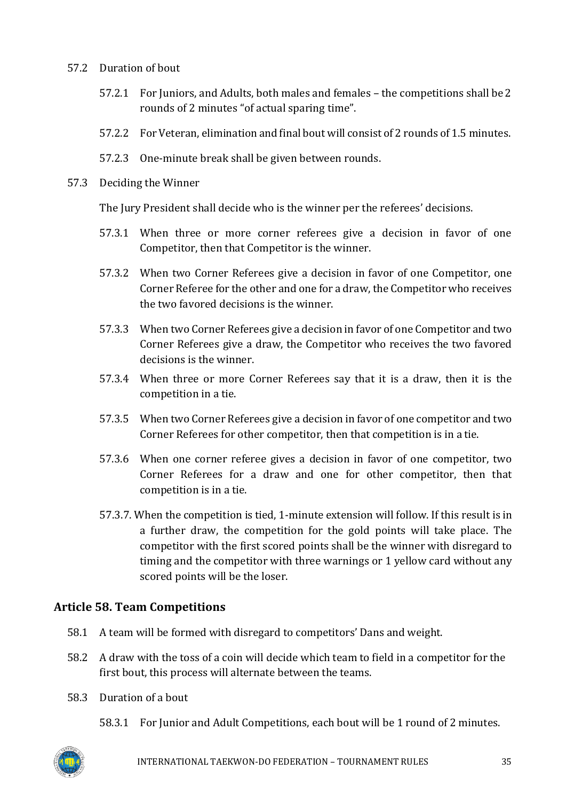#### 57.2 Duration of bout

- 57.2.1 For Juniors, and Adults, both males and females the competitions shall be2 rounds of 2 minutes "of actual sparing time".
- 57.2.2 For Veteran, elimination and final bout will consist of 2 rounds of 1.5 minutes.
- 57.2.3 One-minute break shall be given between rounds.
- 57.3 Deciding the Winner

The Jury President shall decide who is the winner per the referees' decisions.

- 57.3.1 When three or more corner referees give a decision in favor of one Competitor, then that Competitor is the winner.
- 57.3.2 When two Corner Referees give a decision in favor of one Competitor, one Corner Referee for the other and one for a draw, the Competitor who receives the two favored decisions is the winner.
- 57.3.3 When two Corner Referees give a decision in favor of one Competitor and two Corner Referees give a draw, the Competitor who receives the two favored decisions is the winner.
- 57.3.4 When three or more Corner Referees say that it is a draw, then it is the competition in a tie.
- 57.3.5 When two Corner Referees give a decision in favor of one competitor and two Corner Referees for other competitor, then that competition is in a tie.
- 57.3.6 When one corner referee gives a decision in favor of one competitor, two Corner Referees for a draw and one for other competitor, then that competition is in a tie.
- 57.3.7. When the competition is tied, 1-minute extension will follow. If this result is in a further draw, the competition for the gold points will take place. The competitor with the first scored points shall be the winner with disregard to timing and the competitor with three warnings or 1 yellow card without any scored points will be the loser.

# <span id="page-34-0"></span>**Article 58. Team Competitions**

- 58.1 A team will be formed with disregard to competitors' Dans and weight.
- 58.2 A draw with the toss of a coin will decide which team to field in a competitor for the first bout, this process will alternate between the teams.
- 58.3 Duration of a bout
	- 58.3.1 For Junior and Adult Competitions, each bout will be 1 round of 2 minutes.

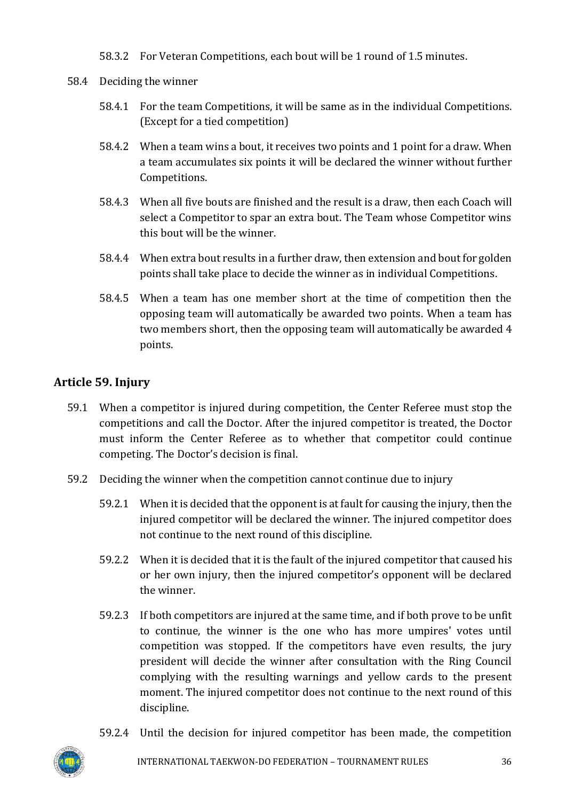58.3.2 For Veteran Competitions, each bout will be 1 round of 1.5 minutes.

- 58.4 Deciding the winner
	- 58.4.1 For the team Competitions, it will be same as in the individual Competitions. (Except for a tied competition)
	- 58.4.2 When a team wins a bout, it receives two points and 1 point for a draw. When a team accumulates six points it will be declared the winner without further Competitions.
	- 58.4.3 When all five bouts are finished and the result is a draw, then each Coach will select a Competitor to spar an extra bout. The Team whose Competitor wins this bout will be the winner.
	- 58.4.4 When extra bout results in a further draw, then extension and bout for golden points shall take place to decide the winner as in individual Competitions.
	- 58.4.5 When a team has one member short at the time of competition then the opposing team will automatically be awarded two points. When a team has two members short, then the opposing team will automatically be awarded 4 points.

# <span id="page-35-0"></span>**Article 59. Injury**

- 59.1 When a competitor is injured during competition, the Center Referee must stop the competitions and call the Doctor. After the injured competitor is treated, the Doctor must inform the Center Referee as to whether that competitor could continue competing. The Doctor's decision is final.
- 59.2 Deciding the winner when the competition cannot continue due to injury
	- 59.2.1 When it is decided that the opponent is at fault for causing the injury, then the injured competitor will be declared the winner. The injured competitor does not continue to the next round of this discipline.
	- 59.2.2 When it is decided that it is the fault of the injured competitor that caused his or her own injury, then the injured competitor's opponent will be declared the winner.
	- 59.2.3 If both competitors are injured at the same time, and if both prove to be unfit to continue, the winner is the one who has more umpires' votes until competition was stopped. If the competitors have even results, the jury president will decide the winner after consultation with the Ring Council complying with the resulting warnings and yellow cards to the present moment. The injured competitor does not continue to the next round of this discipline.
	- 59.2.4 Until the decision for injured competitor has been made, the competition



INTERNATIONAL TAEKWON-DO FEDERATION – TOURNAMENT RULES 36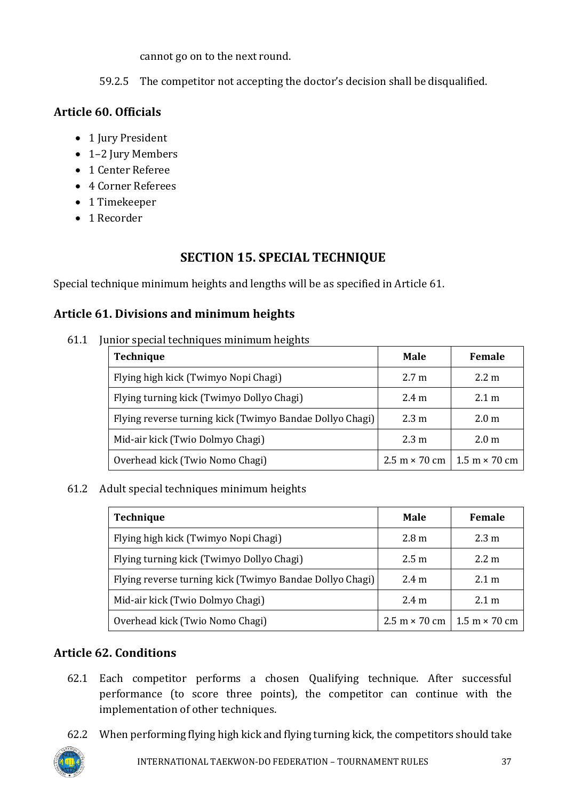cannot go on to the next round.

59.2.5 The competitor not accepting the doctor's decision shall be disqualified.

# <span id="page-36-0"></span>**Article 60. Officials**

- 1 Jury President
- 1-2 Jury Members
- 1 Center Referee
- 4 Corner Referees
- 1 Timekeeper
- 1 Recorder

# **SECTION 15. SPECIAL TECHNIQUE**

<span id="page-36-1"></span>Special technique minimum heights and lengths will be as specified in Article 61.

# <span id="page-36-2"></span>**Article 61. Divisions and minimum heights**

61.1 Junior special techniques minimum heights

| Technique                                                | Male                                                        | <b>Female</b>    |
|----------------------------------------------------------|-------------------------------------------------------------|------------------|
| Flying high kick (Twimyo Nopi Chagi)                     | 2.7 <sub>m</sub>                                            | $2.2 \text{ m}$  |
| Flying turning kick (Twimyo Dollyo Chagi)                | $2.4 \text{ m}$                                             | $2.1 \text{ m}$  |
| Flying reverse turning kick (Twimyo Bandae Dollyo Chagi) | 2.3 m                                                       | 2.0 <sub>m</sub> |
| Mid-air kick (Twio Dolmyo Chagi)                         | 2.3 m                                                       | 2.0 <sub>m</sub> |
| Overhead kick (Twio Nomo Chagi)                          | $2.5 \text{ m} \times 70 \text{ cm}$   1.5 m $\times$ 70 cm |                  |

# 61.2 Adult special techniques minimum heights

| <b>Technique</b>                                         | Male                                                        | Female          |
|----------------------------------------------------------|-------------------------------------------------------------|-----------------|
| Flying high kick (Twimyo Nopi Chagi)                     | 2.8 <sub>m</sub>                                            | $2.3 \text{ m}$ |
| Flying turning kick (Twimyo Dollyo Chagi)                | 2.5 <sub>m</sub>                                            | $2.2 \text{ m}$ |
| Flying reverse turning kick (Twimyo Bandae Dollyo Chagi) | $2.4 \text{ m}$                                             | $2.1 \text{ m}$ |
| Mid-air kick (Twio Dolmyo Chagi)                         | 2.4 <sub>m</sub>                                            | $2.1 \text{ m}$ |
| Overhead kick (Twio Nomo Chagi)                          | $2.5 \text{ m} \times 70 \text{ cm}$   1.5 m $\times$ 70 cm |                 |

# <span id="page-36-3"></span>**Article 62. Conditions**

- 62.1 Each competitor performs a chosen Qualifying technique. After successful performance (to score three points), the competitor can continue with the implementation of other techniques.
- 62.2 When performing flying high kick and flying turning kick, the competitors should take

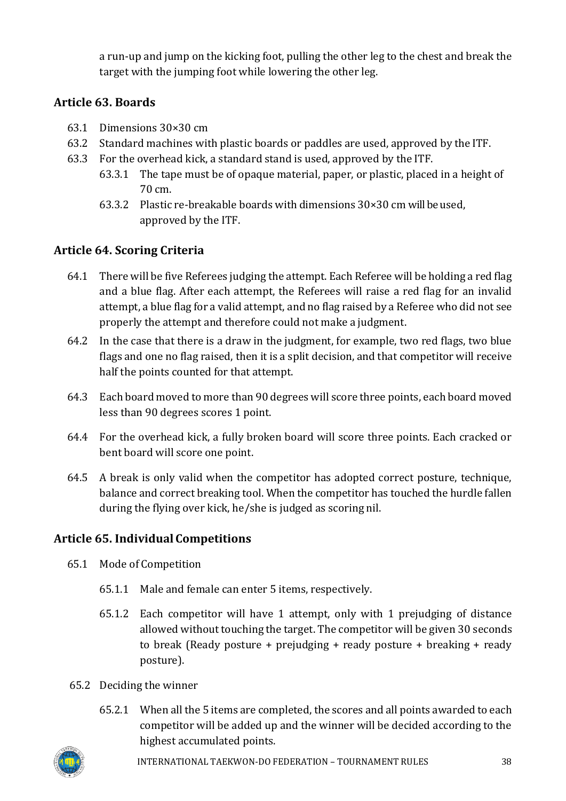a run-up and jump on the kicking foot, pulling the other leg to the chest and break the target with the jumping foot while lowering the other leg.

# <span id="page-37-0"></span>**Article 63. Boards**

- 63.1 Dimensions 30×30 cm
- 63.2 Standard machines with plastic boards or paddles are used, approved by the ITF.
- 63.3 For the overhead kick, a standard stand is used, approved by the ITF.
	- 63.3.1 The tape must be of opaque material, paper, or plastic, placed in a height of 70 cm.
	- 63.3.2 Plastic re-breakable boards with dimensions  $30 \times 30$  cm will be used, approved by the ITF.

# <span id="page-37-1"></span>**Article 64. Scoring Criteria**

- 64.1 There will be five Referees judging the attempt. Each Referee will be holding a red flag and a blue flag. After each attempt, the Referees will raise a red flag for an invalid attempt, a blue flag for a valid attempt, and no flag raised by a Referee who did not see properly the attempt and therefore could not make a judgment.
- 64.2 In the case that there is a draw in the judgment, for example, two red flags, two blue flags and one no flag raised, then it is a split decision, and that competitor will receive half the points counted for that attempt.
- 64.3 Each board moved to more than 90 degrees will score three points, each board moved less than 90 degrees scores 1 point.
- 64.4 For the overhead kick, a fully broken board will score three points. Each cracked or bent board will score one point.
- 64.5 A break is only valid when the competitor has adopted correct posture, technique, balance and correct breaking tool. When the competitor has touched the hurdle fallen during the flying over kick, he/she is judged as scoring nil.

# <span id="page-37-2"></span>**Article 65. Individual Competitions**

- 65.1 Mode of Competition
	- 65.1.1 Male and female can enter 5 items, respectively.
	- 65.1.2 Each competitor will have 1 attempt, only with 1 prejudging of distance allowed without touching the target. The competitor will be given 30 seconds to break (Ready posture + prejudging + ready posture + breaking + ready posture).
- 65.2 Deciding the winner
	- 65.2.1 When all the 5 items are completed, the scores and all points awarded to each competitor will be added up and the winner will be decided according to the highest accumulated points.

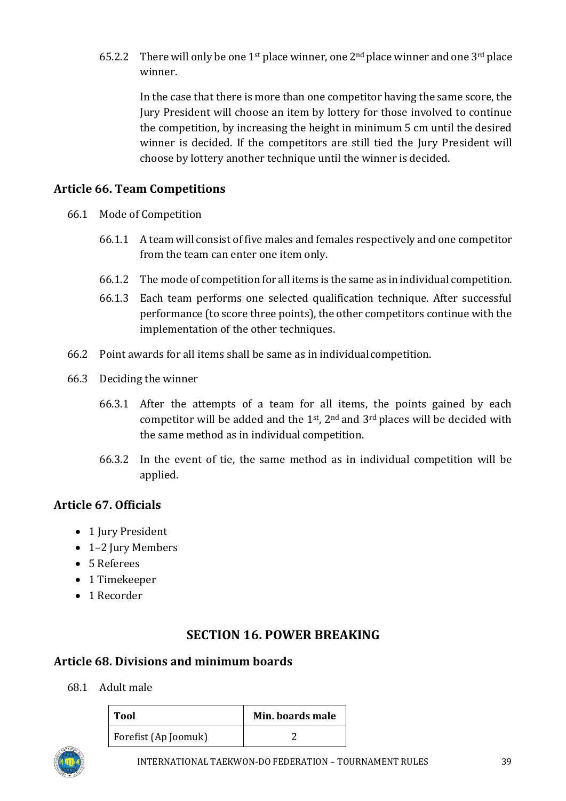65.2.2 There will only be one 1<sup>st</sup> place winner, one 2<sup>nd</sup> place winner and one 3<sup>rd</sup> place winner.

In the case that there is more than one competitor having the same score, the Jury President will choose an item by lottery for those involved to continue the competition, by increasing the height in minimum 5 cm until the desired winner is decided. If the competitors are still tied the Jury President will choose by lottery another technique until the winner is decided.

# <span id="page-38-0"></span>**Article 66. Team Competitions**

- 66.1 Mode of Competition
	- 66.1.1 A team will consist of five males and females respectively and one competitor from the team can enter one item only.
	- 66.1.2 The mode of competition for all items is the same as in individual competition.
	- 66.1.3 Each team performs one selected qualification technique. After successful performance (to score three points), the other competitors continue with the implementation of the other techniques.
- 66.2 Point awards for all items shall be same as in individualcompetition.
- 66.3 Deciding the winner
	- 66.3.1 After the attempts of a team for all items, the points gained by each competitor will be added and the  $1<sup>st</sup>$ ,  $2<sup>nd</sup>$  and  $3<sup>rd</sup>$  places will be decided with the same method as in individual competition.
	- 66.3.2 In the event of tie, the same method as in individual competition will be applied.

# <span id="page-38-1"></span>**Article 67. Officials**

- 1 Jury President
- 1–2 Jury Members
- 5 Referees
- 1 Timekeeper
- 1 Recorder

# **SECTION 16. POWER BREAKING**

### <span id="page-38-3"></span><span id="page-38-2"></span>**Article 68. Divisions and minimum boards**

68.1 Adult male

| <b>Tool</b>          | Min. boards male |
|----------------------|------------------|
| Forefist (Ap Joomuk) |                  |

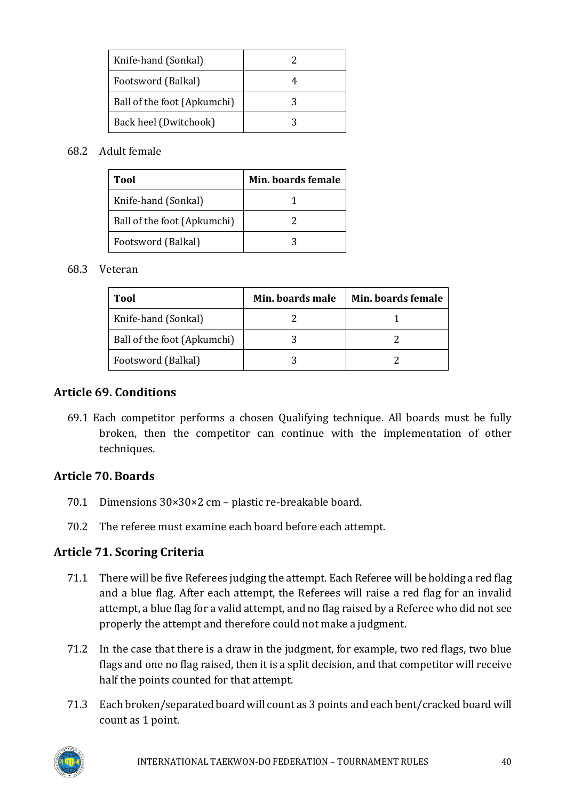| Knife-hand (Sonkal)         |  |
|-----------------------------|--|
| Footsword (Balkal)          |  |
| Ball of the foot (Apkumchi) |  |
| Back heel (Dwitchook)       |  |

#### 68.2 Adult female

| Tool                        | Min. boards female |
|-----------------------------|--------------------|
| Knife-hand (Sonkal)         |                    |
| Ball of the foot (Apkumchi) |                    |
| Footsword (Balkal)          |                    |

#### 68.3 Veteran

| Tool                        | Min. boards male | Min. boards female |
|-----------------------------|------------------|--------------------|
| Knife-hand (Sonkal)         |                  |                    |
| Ball of the foot (Apkumchi) |                  |                    |
| Footsword (Balkal)          |                  |                    |

#### <span id="page-39-0"></span>**Article 69. Conditions**

69.1 Each competitor performs a chosen Qualifying technique. All boards must be fully broken, then the competitor can continue with the implementation of other techniques.

### <span id="page-39-1"></span>**Article 70. Boards**

- 70.1 Dimensions 30×30×2 cm plastic re-breakable board.
- 70.2 The referee must examine each board before each attempt.

### <span id="page-39-2"></span>**Article 71. Scoring Criteria**

- 71.1 There will be five Referees judging the attempt. Each Referee will be holding a red flag and a blue flag. After each attempt, the Referees will raise a red flag for an invalid attempt, a blue flag for a valid attempt, and no flag raised by a Referee who did not see properly the attempt and therefore could not make a judgment.
- 71.2 In the case that there is a draw in the judgment, for example, two red flags, two blue flags and one no flag raised, then it is a split decision, and that competitor will receive half the points counted for that attempt.
- 71.3 Each broken/separated board will count as 3 points and each bent/cracked board will count as 1 point.

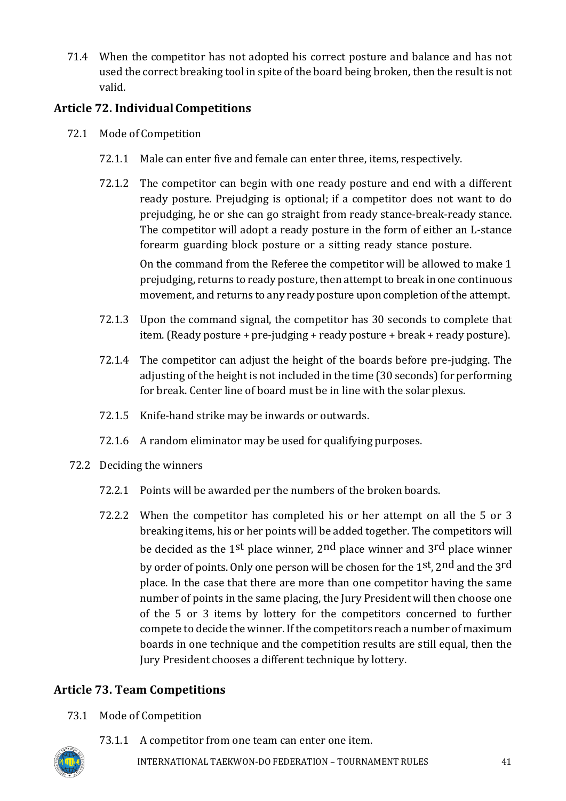71.4 When the competitor has not adopted his correct posture and balance and has not used the correct breaking tool in spite of the board being broken, then the result is not valid.

# <span id="page-40-0"></span>**Article 72. IndividualCompetitions**

- 72.1 Mode of Competition
	- 72.1.1 Male can enter five and female can enter three, items, respectively.
	- 72.1.2 The competitor can begin with one ready posture and end with a different ready posture. Prejudging is optional; if a competitor does not want to do prejudging, he or she can go straight from ready stance-break-ready stance. The competitor will adopt a ready posture in the form of either an L-stance forearm guarding block posture or a sitting ready stance posture. On the command from the Referee the competitor will be allowed to make 1 prejudging, returns to ready posture, then attempt to break in one continuous
	- 72.1.3 Upon the command signal, the competitor has 30 seconds to complete that item. (Ready posture + pre-judging + ready posture + break + ready posture).

movement, and returns to any ready posture upon completion of the attempt.

- 72.1.4 The competitor can adjust the height of the boards before pre-judging. The adjusting of the height is not included in the time (30 seconds) for performing for break. Center line of board must be in line with the solar plexus.
- 72.1.5 Knife-hand strike may be inwards or outwards.
- 72.1.6 A random eliminator may be used for qualifying purposes.
- 72.2 Deciding the winners
	- 72.2.1 Points will be awarded per the numbers of the broken boards.
	- 72.2.2 When the competitor has completed his or her attempt on all the 5 or 3 breaking items, his or her points will be added together. The competitors will be decided as the 1st place winner, 2nd place winner and 3rd place winner by order of points. Only one person will be chosen for the 1st, 2nd and the 3rd place. In the case that there are more than one competitor having the same number of points in the same placing, the Jury President will then choose one of the 5 or 3 items by lottery for the competitors concerned to further compete to decide the winner. If the competitors reach a number of maximum boards in one technique and the competition results are still equal, then the Jury President chooses a different technique by lottery.

# <span id="page-40-1"></span>**Article 73. Team Competitions**

- 73.1 Mode of Competition
	- 73.1.1 A competitor from one team can enter one item.

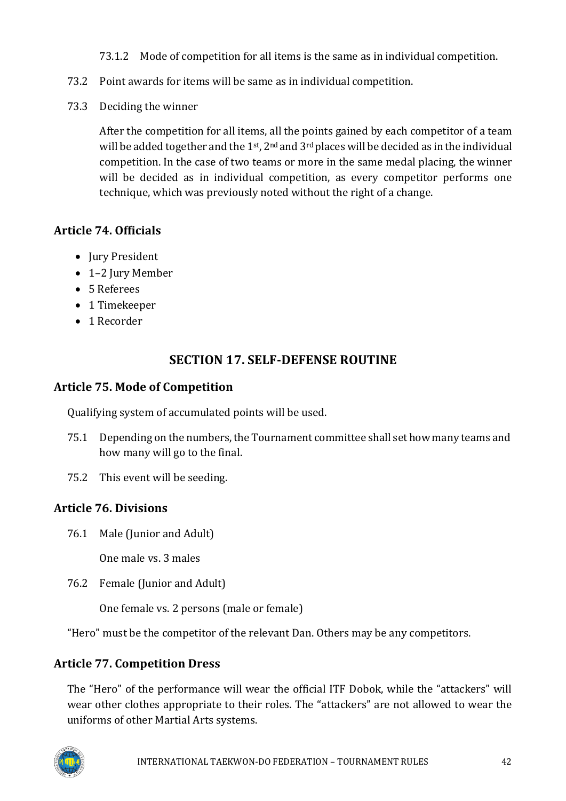73.1.2 Mode of competition for all items is the same as in individual competition.

- 73.2 Point awards for items will be same as in individual competition.
- 73.3 Deciding the winner

After the competition for all items, all the points gained by each competitor of a team will be added together and the  $1^{st}$ ,  $2^{nd}$  and  $3^{rd}$  places will be decided as in the individual competition. In the case of two teams or more in the same medal placing, the winner will be decided as in individual competition, as every competitor performs one technique, which was previously noted without the right of a change.

# <span id="page-41-0"></span>**Article 74. Officials**

- Jury President
- 1–2 Jury Member
- 5 Referees
- 1 Timekeeper
- 1 Recorder

# **SECTION 17. SELF-DEFENSE ROUTINE**

### <span id="page-41-2"></span><span id="page-41-1"></span>**Article 75. Mode of Competition**

Qualifying system of accumulated points will be used.

- 75.1 Depending on the numbers, the Tournament committee shall set how many teams and how many will go to the final.
- 75.2 This event will be seeding.

# <span id="page-41-3"></span>**Article 76. Divisions**

76.1 Male (Junior and Adult)

One male vs. 3 males

76.2 Female (Junior and Adult)

One female vs. 2 persons (male or female)

"Hero" must be the competitor of the relevant Dan. Others may be any competitors.

# <span id="page-41-4"></span>**Article 77. Competition Dress**

The "Hero" of the performance will wear the official ITF Dobok, while the "attackers" will wear other clothes appropriate to their roles. The "attackers" are not allowed to wear the uniforms of other Martial Arts systems.

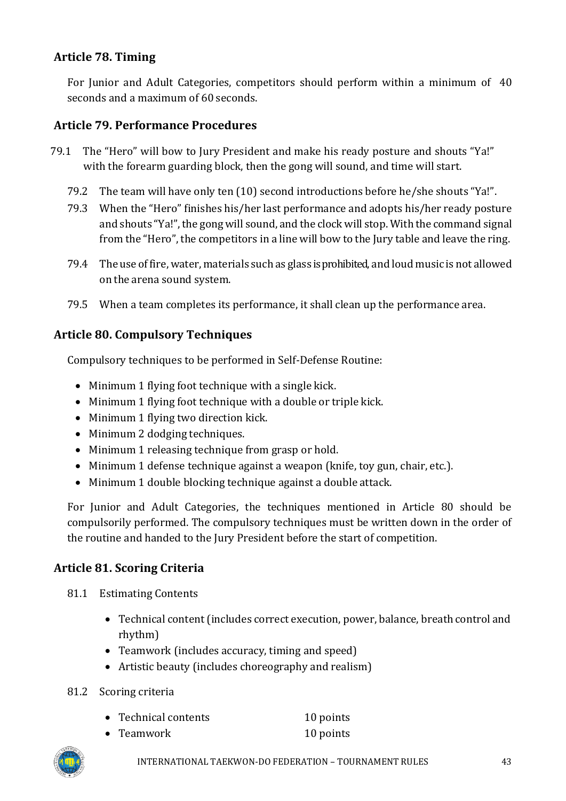### <span id="page-42-0"></span>**Article 78. Timing**

For Junior and Adult Categories, competitors should perform within a minimum of 40 seconds and a maximum of 60 seconds.

### <span id="page-42-1"></span>**Article 79. Performance Procedures**

- 79.1 The "Hero" will bow to Jury President and make his ready posture and shouts "Ya!" with the forearm guarding block, then the gong will sound, and time will start.
	- 79.2 The team will have only ten (10) second introductions before he/she shouts "Ya!".
	- 79.3 When the "Hero" finishes his/her last performance and adopts his/her ready posture and shouts "Ya!", the gong will sound, and the clock will stop. With the command signal from the "Hero", the competitors in a line will bow to the Jury table and leave the ring.
	- 79.4 The use offire, water, materials such as glass is prohibited, and loud music is not allowed on the arena sound system.
	- 79.5 When a team completes its performance, it shall clean up the performance area.

### <span id="page-42-2"></span>**Article 80. Compulsory Techniques**

Compulsory techniques to be performed in Self-Defense Routine:

- Minimum 1 flying foot technique with a single kick.
- Minimum 1 flying foot technique with a double or triple kick.
- Minimum 1 flying two direction kick.
- Minimum 2 dodging techniques.
- Minimum 1 releasing technique from grasp or hold.
- Minimum 1 defense technique against a weapon (knife, toy gun, chair, etc.).
- Minimum 1 double blocking technique against a double attack.

For Junior and Adult Categories, the techniques mentioned in Article 80 should be compulsorily performed. The compulsory techniques must be written down in the order of the routine and handed to the Jury President before the start of competition.

### <span id="page-42-3"></span>**Article 81. Scoring Criteria**

- 81.1 Estimating Contents
	- Technical content (includes correct execution, power, balance, breath control and rhythm)
	- Teamwork (includes accuracy, timing and speed)
	- Artistic beauty (includes choreography and realism)
- 81.2 Scoring criteria
	- Technical contents 10 points
	- Teamwork 10 points

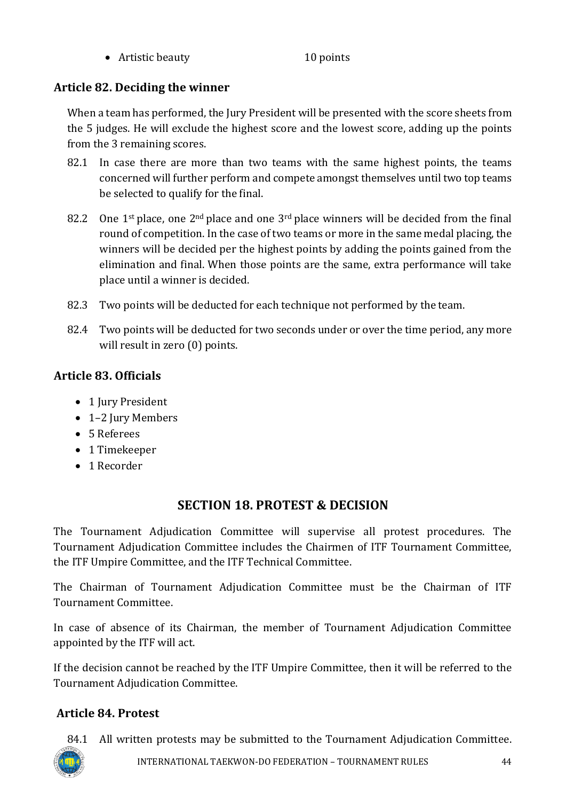• Artistic beauty 10 points

# <span id="page-43-0"></span>**Article 82. Deciding the winner**

When a team has performed, the Jury President will be presented with the score sheets from the 5 judges. He will exclude the highest score and the lowest score, adding up the points from the 3 remaining scores.

- 82.1 In case there are more than two teams with the same highest points, the teams concerned will further perform and compete amongst themselves until two top teams be selected to qualify for the final.
- 82.2 One  $1^{st}$  place, one  $2^{nd}$  place and one  $3^{rd}$  place winners will be decided from the final round of competition. In the case of two teams or more in the same medal placing, the winners will be decided per the highest points by adding the points gained from the elimination and final. When those points are the same, extra performance will take place until a winner is decided.
- 82.3 Two points will be deducted for each technique not performed by the team.
- 82.4 Two points will be deducted for two seconds under or over the time period, any more will result in zero (0) points.

# <span id="page-43-1"></span>**Article 83. Officials**

- 1 Jury President
- 1-2 Jury Members
- 5 Referees
- 1 Timekeeper
- 1 Recorder

# **SECTION 18. PROTEST & DECISION**

<span id="page-43-2"></span>The Tournament Adjudication Committee will supervise all protest procedures. The Tournament Adjudication Committee includes the Chairmen of ITF Tournament Committee, the ITF Umpire Committee, and the ITF Technical Committee.

The Chairman of Tournament Adjudication Committee must be the Chairman of ITF Tournament Committee.

In case of absence of its Chairman, the member of Tournament Adjudication Committee appointed by the ITF will act.

If the decision cannot be reached by the ITF Umpire Committee, then it will be referred to the Tournament Adjudication Committee.

# <span id="page-43-3"></span>**Article 84. Protest**

84.1 All written protests may be submitted to the Tournament Adjudication Committee.

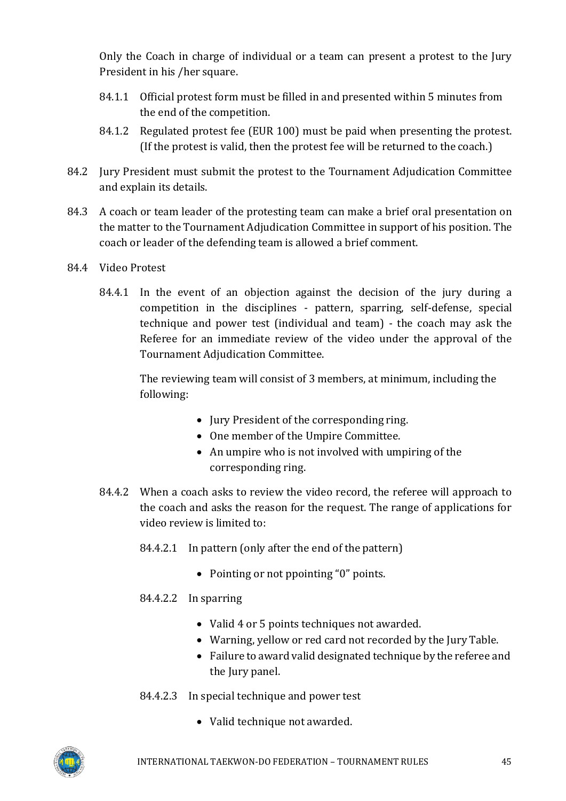Only the Coach in charge of individual or a team can present a protest to the Jury President in his /her square.

- 84.1.1 Official protest form must be filled in and presented within 5 minutes from the end of the competition.
- 84.1.2 Regulated protest fee (EUR 100) must be paid when presenting the protest. (If the protest is valid, then the protest fee will be returned to the coach.)
- 84.2 Jury President must submit the protest to the Tournament Adjudication Committee and explain its details.
- 84.3 A coach or team leader of the protesting team can make a brief oral presentation on the matter to the Tournament Adjudication Committee in support of his position. The coach or leader of the defending team is allowed a brief comment.
- 84.4 Video Protest
	- 84.4.1 In the event of an objection against the decision of the jury during a competition in the disciplines - pattern, sparring, self-defense, special technique and power test (individual and team) - the coach may ask the Referee for an immediate review of the video under the approval of the Tournament Adjudication Committee.

The reviewing team will consist of 3 members, at minimum, including the following:

- Jury President of the corresponding ring.
- One member of the Umpire Committee.
- An umpire who is not involved with umpiring of the corresponding ring.
- 84.4.2 When a coach asks to review the video record, the referee will approach to the coach and asks the reason for the request. The range of applications for video review is limited to:
	- 84.4.2.1 In pattern (only after the end of the pattern)
		- Pointing or not ppointing "0" points.

### 84.4.2.2 In sparring

- Valid 4 or 5 points techniques not awarded.
- Warning, yellow or red card not recorded by the Jury Table.
- Failure to award valid designated technique by the referee and the Jury panel.
- 84.4.2.3 In special technique and power test
	- Valid technique not awarded.

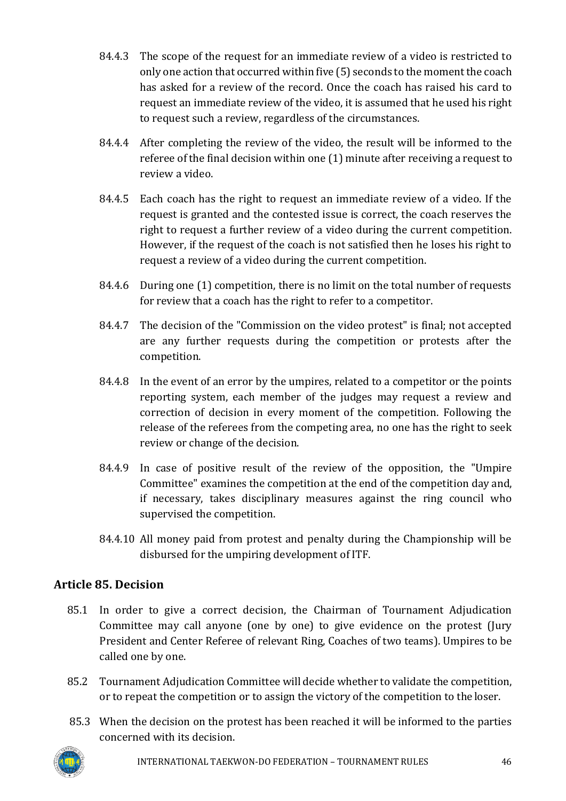- 84.4.3 The scope of the request for an immediate review of a video is restricted to only one action that occurred within five (5) seconds to the moment the coach has asked for a review of the record. Once the coach has raised his card to request an immediate review of the video, it is assumed that he used his right to request such a review, regardless of the circumstances.
- 84.4.4 After completing the review of the video, the result will be informed to the referee of the final decision within one (1) minute after receiving a request to review a video.
- 84.4.5 Each coach has the right to request an immediate review of a video. If the request is granted and the contested issue is correct, the coach reserves the right to request a further review of a video during the current competition. However, if the request of the coach is not satisfied then he loses his right to request a review of a video during the current competition.
- 84.4.6 During one (1) competition, there is no limit on the total number of requests for review that a coach has the right to refer to a competitor.
- 84.4.7 The decision of the "Commission on the video protest" is final; not accepted are any further requests during the competition or protests after the competition.
- 84.4.8 In the event of an error by the umpires, related to a competitor or the points reporting system, each member of the judges may request a review and correction of decision in every moment of the competition. Following the release of the referees from the competing area, no one has the right to seek review or change of the decision.
- 84.4.9 In case of positive result of the review of the opposition, the "Umpire Committee" examines the competition at the end of the competition day and, if necessary, takes disciplinary measures against the ring council who supervised the competition.
- 84.4.10 All money paid from protest and penalty during the Championship will be disbursed for the umpiring development of ITF.

# <span id="page-45-0"></span>**Article 85. Decision**

- 85.1 In order to give a correct decision, the Chairman of Tournament Adjudication Committee may call anyone (one by one) to give evidence on the protest (Jury President and Center Referee of relevant Ring, Coaches of two teams). Umpires to be called one by one.
- 85.2 Tournament Adjudication Committee will decide whether to validate the competition, or to repeat the competition or to assign the victory of the competition to the loser.
- 85.3 When the decision on the protest has been reached it will be informed to the parties concerned with its decision.

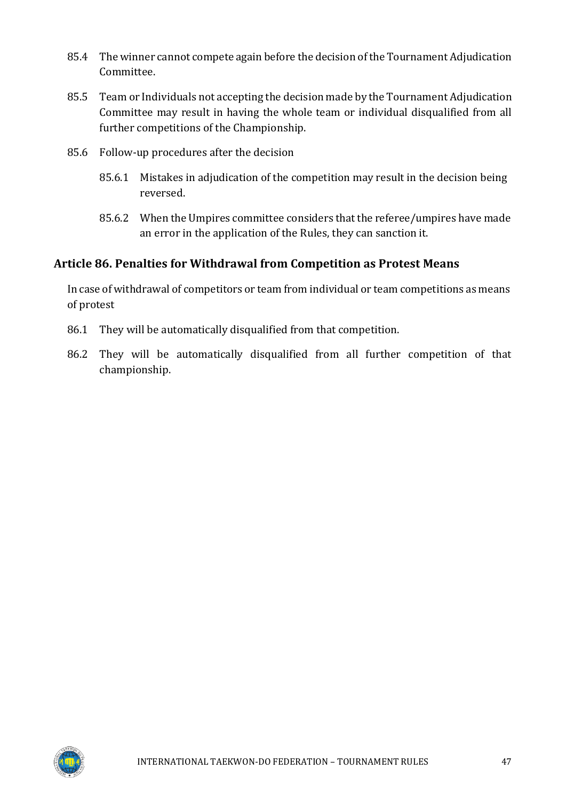- 85.4 The winner cannot compete again before the decision of the Tournament Adjudication Committee.
- 85.5 Team or Individuals not accepting the decision made by the Tournament Adjudication Committee may result in having the whole team or individual disqualified from all further competitions of the Championship.
- 85.6 Follow-up procedures after the decision
	- 85.6.1 Mistakes in adjudication of the competition may result in the decision being reversed.
	- 85.6.2 When the Umpires committee considers that the referee/umpires have made an error in the application of the Rules, they can sanction it.

### <span id="page-46-0"></span>**Article 86. Penalties for Withdrawal from Competition as Protest Means**

In case of withdrawal of competitors or team from individual or team competitions as means of protest

- 86.1 They will be automatically disqualified from that competition.
- 86.2 They will be automatically disqualified from all further competition of that championship.

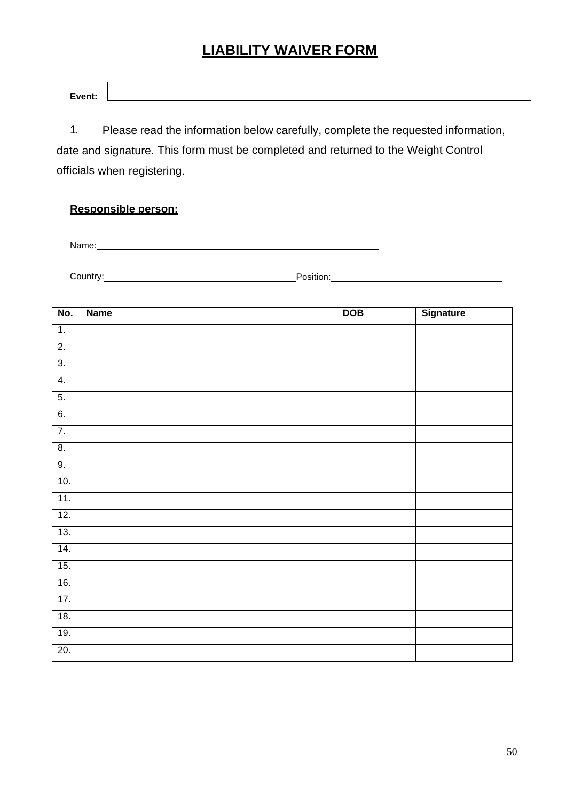# <span id="page-47-0"></span>**LIABILITY WAIVER FORM**

| Event: |  |  |
|--------|--|--|
|        |  |  |

1. Please read the information below carefully, complete the requested information, date and signature. This form must be completed and returned to the Weight Control officials when registering.

### **Responsible person:**

Name: Name and the second contract of the second contract of the second contract of the second contract of the second contract of the second contract of the second contract of the second contract of the second contract of

Country: Position: Position: Position:

| No.              | <b>Name</b> | DOB | Signature |
|------------------|-------------|-----|-----------|
| $\overline{1}$ . |             |     |           |
| $\overline{2}$ . |             |     |           |
| $\overline{3}$ . |             |     |           |
| 4.               |             |     |           |
| 5.               |             |     |           |
| 6.               |             |     |           |
| 7.               |             |     |           |
| 8.               |             |     |           |
| 9.               |             |     |           |
| 10.              |             |     |           |
| 11.              |             |     |           |
| 12.              |             |     |           |
| 13.              |             |     |           |
| 14.              |             |     |           |
| 15.              |             |     |           |
| 16.              |             |     |           |
| 17.              |             |     |           |
| 18.              |             |     |           |
| 19.              |             |     |           |
| 20.              |             |     |           |